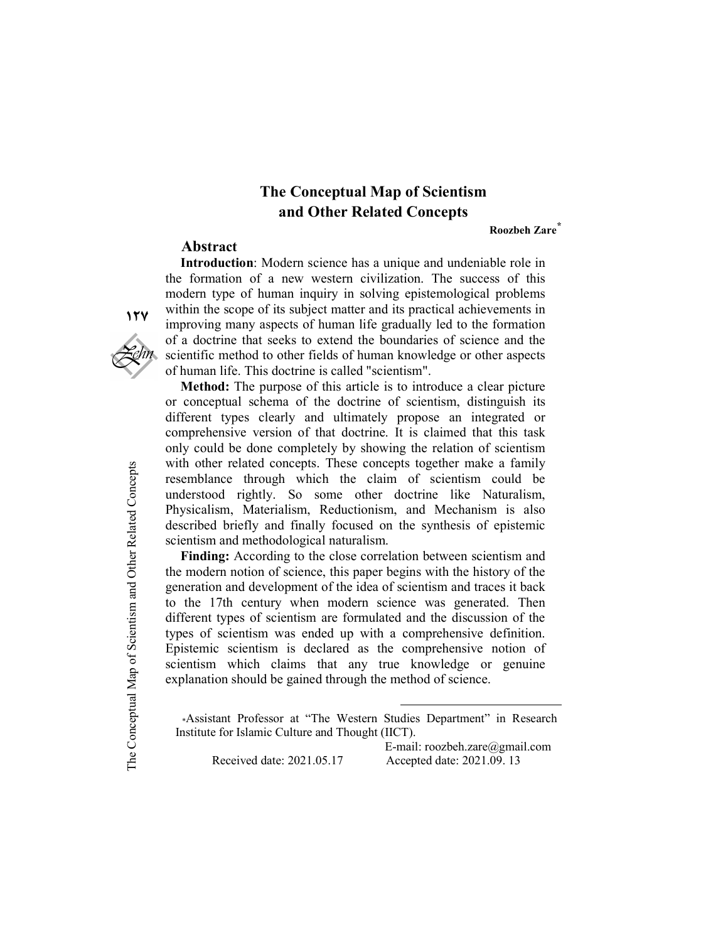# The Conceptual Map of Scientism and Other Related Concepts

Roozbeh Zare<sup>\*</sup>

#### Abstract

Introduction: Modern science has a unique and undeniable role in the formation of a new western civilization. The success of this modern type of human inquiry in solving epistemological problems within the scope of its subject matter and its practical achievements in improving many aspects of human life gradually led to the formation of a doctrine that seeks to extend the boundaries of science and the scientific method to other fields of human knowledge or other aspects of human life. This doctrine is called "scientism".

Method: The purpose of this article is to introduce a clear picture or conceptual schema of the doctrine of scientism, distinguish its different types clearly and ultimately propose an integrated or comprehensive version of that doctrine. It is claimed that this task only could be done completely by showing the relation of scientism with other related concepts. These concepts together make a family resemblance through which the claim of scientism could be understood rightly. So some other doctrine like Naturalism, Physicalism, Materialism, Reductionism, and Mechanism is also described briefly and finally focused on the synthesis of epistemic scientism and methodological naturalism.

WIIN other related concepts<br>
resemblance through<br>
understood rightly.<br>
Physicalism, Material<br>
described briefly and<br>
scientism and methodo<br> **Finding:** According<br>
the modern notion of s<br>
generation and develop<br>
to the 17th Finding: According to the close correlation between scientism and the modern notion of science, this paper begins with the history of the generation and development of the idea of scientism and traces it back to the 17th century when modern science was generated. Then different types of scientism are formulated and the discussion of the types of scientism was ended up with a comprehensive definition. Epistemic scientism is declared as the comprehensive notion of scientism which claims that any true knowledge or genuine explanation should be gained through the method of science.

\*Assistant Professor at "The Western Studies Department" in Research Institute for Islamic Culture and Thought (IICT).

-

 E-mail: roozbeh.zare@gmail.com Received date: 2021.05.17 Accepted date: 2021.09. 13

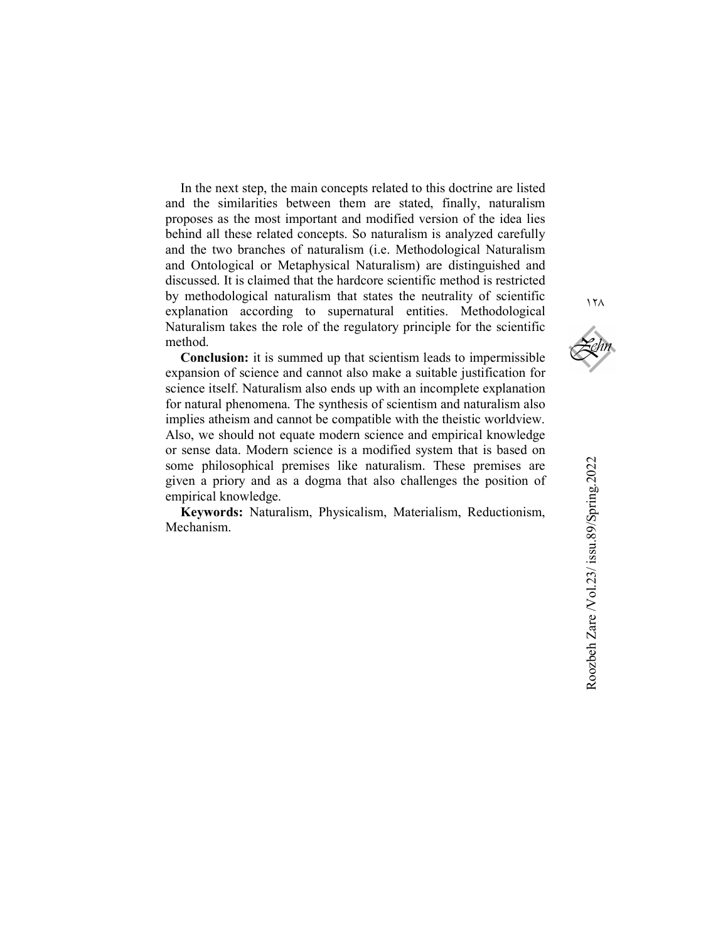In the next step, the main concepts related to this doctrine are listed and the similarities between them are stated, finally, naturalism proposes as the most important and modified version of the idea lies behind all these related concepts. So naturalism is analyzed carefully and the two branches of naturalism (i.e. Methodological Naturalism and Ontological or Metaphysical Naturalism) are distinguished and discussed. It is claimed that the hardcore scientific method is restricted by methodological naturalism that states the neutrality of scientific explanation according to supernatural entities. Methodological Naturalism takes the role of the regulatory principle for the scientific method.

Conclusion: it is summed up that scientism leads to impermissible expansion of science and cannot also make a suitable justification for science itself. Naturalism also ends up with an incomplete explanation for natural phenomena. The synthesis of scientism and naturalism also implies atheism and cannot be compatible with the theistic worldview. Also, we should not equate modern science and empirical knowledge or sense data. Modern science is a modified system that is based on some philosophical premises like naturalism. These premises are given a priory and as a dogma that also challenges the position of empirical knowledge.

Keywords: Naturalism, Physicalism, Materialism, Reductionism, Mechanism.

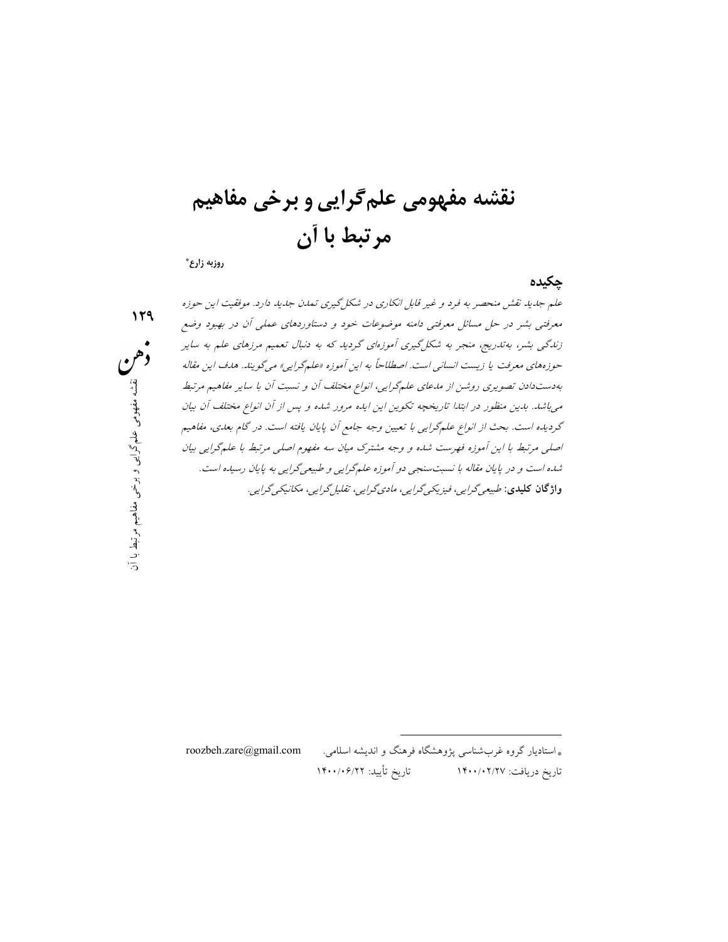نقشه مفهومي علم گرايي و برخي مفاهيم مرتبط با آن

روزبه زارع\*

چكيده

١٢٩

انو*اع مختلف آن و نسبت آن با ساير مفاهيم مرتبط*<br>ب*ايده مرور شده و پس از آن انواع مختلف آن بيان*<br>جه *جامع آن پايان يافته است. در گام بعدی، مفاهيم*<br>ترک م*يان سه مفهوم اصلی مرتبط با علمگرايی بيان*<br>علمگر*ايی و طبيعیگرايی به پ* علم جديد نقش منحصر به فرد و غير قابل انكاري در شكلگيري تمدن جديد دارد. موفقيت اين حوزه معرفتي بشر در حل مسائل معرفتي دامنه موضوعات خود و دستاوردهاي عملي آن در بهبود وضع زندگي بشر، بهتدريج، منجر به شكلگيري آموزهاي گرديد كه به دنبال تعميم مرزهاي علم به ساير حوزههاي معرفت يا زيست انساني است. اصطلاحاً به اين آموزه «علمگرايي» ميگويند. هدف اين مقاله بهدستدادن تصويري روشن از مدعاي علمگرايي، انواع مختلف آن و نسبت آن با ساير مفاهيم مرتبط ميباشد. بدين منظور در ابتدا تاريخچه تكوين اين ايده مرور شده و پس از آن انواع مختلف آن بيان گرديده است. بحث از انواع علمگرايي با تعيين وجه جامع آن پايان يافته است. در گام بعدي، مفاهيم اصلي مرتبط با اين آموزه فهرست شده و وجه مشترك ميان سه مفهوم اصلي مرتبط با علمگرايي بيان شده است و در پايان مقاله با نسبتسنجي دو آموزه علمگرايي و طبيعيگرايي به پايان رسيده است. واژگان كليدي: طبيعيگرايي، فيزيكيگرايي، ماديگرايي، تقليلگرايي، مكانيكيگرايي.

> \* استاديار گروه غربشناسي پژوهشگاه فرهنگ و انديشه اسلامي. com.gmail@zare.roozbeh تاريخ دريافت: ١٤٠٠/٠٢/٢٧ تاريخ تأييد: ١٤٠٠/٠٦/٢٢

-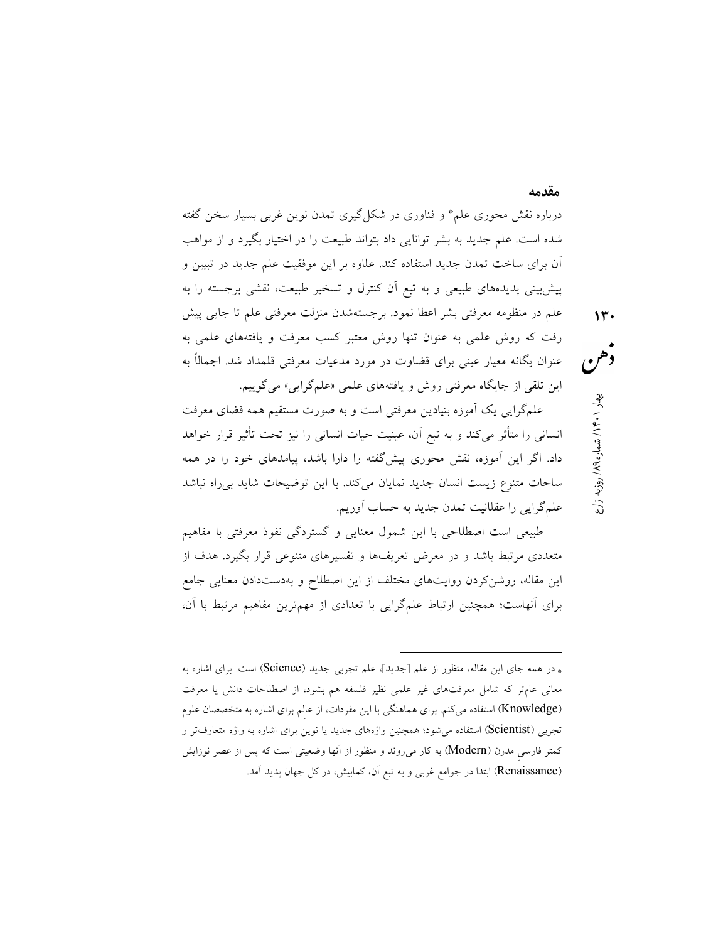درباره نقش محوري علم\* و فناوري در شكلگيري تمدن نوين غربي بسيار سخن گفته شده است. علم جديد به بشر توانايي داد بتواند طبيعت را در اختيار بگيرد و از مواهب آن براي ساخت تمدن جديد استفاده كند. علاوه بر اين موفقيت علم جديد در تبيين و پيشبيني پديدههاي طبيعي و به تبع آن كنترل و تسخير طبيعت، نقشي برجسته را به علم در منظومه معرفتي بشر اعطا نمود. برجستهشدن منزلت معرفتي علم تا جايي پيش رفت كه روش علمي به عنوان تنها روش معتبر كسب معرفت و يافتههاي علمي به عنوان يگانه معيار عيني براي قضاوت در مورد مدعيات معرفتي قلمداد شد. اجمالاً به اين تلقي از جايگاه معرفتي روش و يافتههاي علمي «علمگرايي» ميگوييم.

علمگرايي يك آموزه بنيادين معرفتي است و به صورت مستقيم همه فضاي معرفت انساني را متأثر ميكند و به تبع آن، عينيت حيات انساني را نيز تحت تأثير قرار خواهد داد. اگر اين آموزه، نقش محوري پيشگفته را دارا باشد، پيامدهاي خود را در همه ساحات متنوع زيست انسان جديد نمايان ميكند. با اين توضيحات شايد بيراه نباشد علمگرايي را عقلانيت تمدن جديد به حساب آوريم.

طبيعي است اصطلاحي با اين شمول معنايي و گستردگي نفوذ معرفتي با مفاهيم متعددي مرتبط باشد و در معرض تعريفها و تفسيرهاي متنوعي قرار بگيرد. هدف از اين مقاله، روشنكردن روايتهاي مختلف از اين اصطلاح و بهدستدادن معنايي جامع براي آنهاست؛ همچنين ارتباط علمگرايي با تعدادي از مهمترين مفاهيم مرتبط با آن،

-

مقدمه

روزبه زارع / ۱۴۰/ شماره ۱۸۹<sub>۹ ب</sub>هار ۱۰۴۰/<br>هم

<sup>\*</sup> در همه جاي اين مقاله، منظور از علم [جديد]، علم تجربي جديد (Science (است. براي اشاره به معاني عامتر كه شامل معرفتهاي غير علمي نظير فلسفه هم بشود، از اصطلاحات دانش يا معرفت (Knowledge (استفاده ميكنم. براي هماهنگي با اين مفردات، از عالِم براي اشاره به متخصصان علوم تجربي (Scientist (استفاده ميشود؛ همچنين واژههاي جديد يا نوين براي اشاره به واژه متعارفتر و كمتر فارسي مدرن (Modern) به كار مي $_0$ وند و منظور از آنها وضعيتي است كه پس از عصر نوزايش (Renaissance) ابتدا در جوامع غربي و به تبع آن، كمابيش، در كل جهان پديد آمد.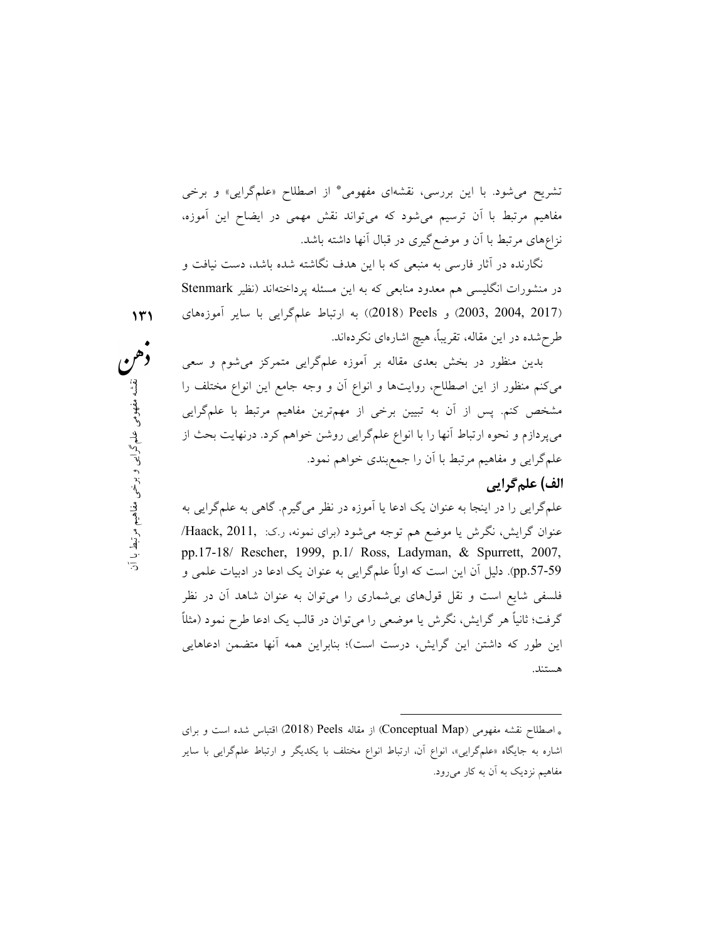تشريح مي شود. با اين بررسي، نقشهاي مفهومي \* از اصطلاح «علمگرايي» و برخي مفاهيم مرتبط با آن ترسيم ميشود كه ميتواند نقش مهمي در ايضاح اين آموزه، نزاعهاي مرتبط با آن و موضعگيري در قبال آنها داشته باشد.

نگارنده در آثار فارسي به منبعي كه با اين هدف نگاشته شده باشد، دست نيافت و در منشورات انگليسي هم معدود منابعي كه به اين مسئله پرداختهاند (نظير Stenmark (2017 2004, 2003,) و Peels) 2018 ((به ارتباط علمگرايي با ساير آموزههاي طرحشده در اين مقاله، تقريبًا، هيچ اشارهاي نكردهاند.

انواع آن و وجه جامع اين انواع مختلف را<br>) از مهمترين مفاهيم مرتبط با علمگرايي<br>) گرايي روشن خواهم كرد. درنهايت بحث از مستخدم<br>کي خواهم نمود.<br>آموزه در نظر ميگيرم. گاهي به علمگرايي به مستخدم مفهوم<br>ميشود (براي نمونه، ر.ک. Haack بدين منظور در بخش بعدي مقاله بر آموزه علمگرايي متمركز ميشوم و سعي ميكنم منظور از اين اصطلاح، روايتها و انواع آن و وجه جامع اين انواع مختلف را مشخص كنم. پس از آن به تبيين برخي از مهمترين مفاهيم مرتبط با علمگرايي ميپردازم و نحوه ارتباط آنها را با انواع علمگرايي روشن خواهم كرد. درنهايت بحث از علمگرايي و مفاهيم مرتبط با آن را جمعبندي خواهم نمود.

#### الف) علمگرايي

علمگرايي را در اينجا به عنوان يك ادعا يا آموزه در نظر ميگيرم. گاهي به علمگرايي به عنوان گرايش، نگرش يا موضع هم توجه ميشود (براي نمونه، ر.ك: 2011, ,Haack/ pp.17-18/ Rescher, 1999, p.1/ Ross, Ladyman, & Spurrett, 2007, .57-59pp(. دليل آن اين است كه اولًا علمگرايي به عنوان يك ادعا در ادبيات علمي و فلسفي شايع است و نقل قولهاي بيشماري را ميتوان به عنوان شاهد آن در نظر گرفت؛ ثانيًا هر گرايش، نگرش يا موضعي را ميتوان در قالب يك ادعا طرح نمود (مثلًا اين طور كه داشتن اين گرايش، درست است)؛ بنابراين همه آنها متضمن ادعاهايي هستند.

-

<sup>\*</sup> اصطلاح نقشه مفهومي (Map Conceptual (از مقاله Peels) 2018 (اقتباس شده است و براي اشاره به جايگاه «علمگرايي»، انواع آن، ارتباط انواع مختلف با يكديگر و ارتباط علمگرايي با ساير مفاهيم نزديك به آن به كار ميرود.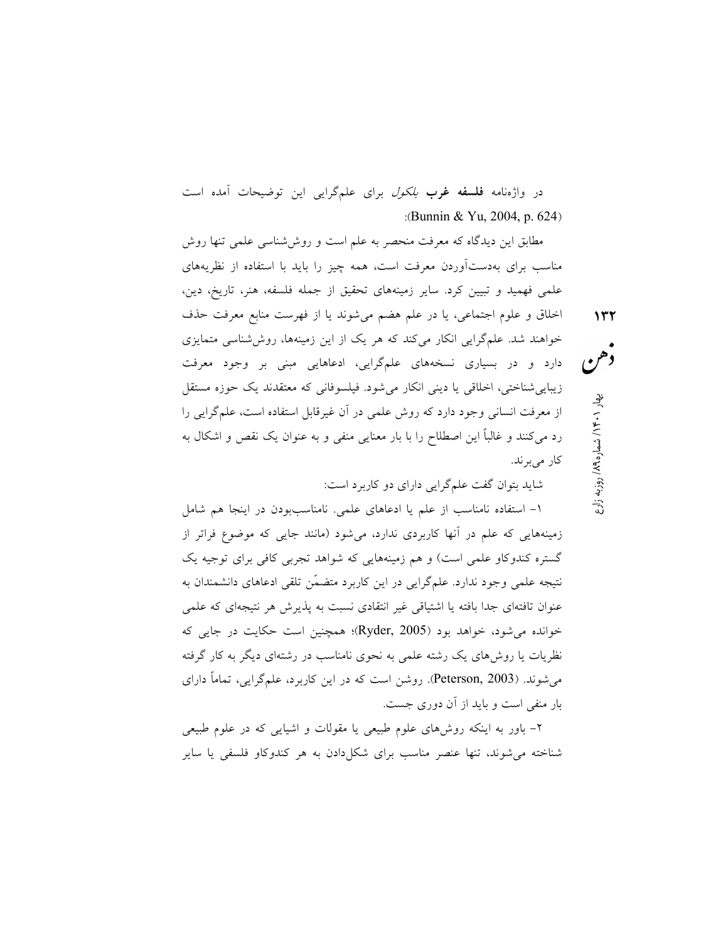در واژهنامه فلسفه غرب *بلكول* براي علمگرايي اين توضيحات آمده است :(Bunnin & Yu, 2004, p. 624)

مطابق اين ديدگاه كه معرفت منحصر به علم است و روششناسي علمي تنها روش مناسب براي بهدستآوردن معرفت است، همه چيز را بايد با استفاده از نظريههاي علمي فهميد و تبيين كرد. ساير زمينههاي تحقيق از جمله فلسفه، هنر، تاريخ، دين، اخلاق و علوم اجتماعي، يا در علم هضم ميشوند يا از فهرست منابع معرفت حذف خواهند شد. علمگرايي انكار ميكند كه هر يك از اين زمينهها، روششناسي متمايزي دارد و در بسياري نسخههاي علمگرايي، ادعاهايي مبني بر وجود معرفت زيباييشناختي، اخلاقي يا ديني انكار ميشود. فيلسوفاني كه معتقدند يك حوزه مستقل از معرفت انساني وجود دارد كه روش علمي در آن غيرقابل استفاده است، علمگرايي را رد ميكنند و غالبًا اين اصطلاح را با بار معنايي منفي و به عنوان يك نقص و اشكال به كار مى برند.

شايد بتوان گفت علمگرايي داراي دو كاربرد است:

-١ استفاده نامناسب از علم يا ادعاهاي علمي. نامناسببودن در اينجا هم شامل زمينههايي كه علم در آنها كاربردي ندارد، ميشود (مانند جايي كه موضوع فراتر از گستره كندوكاو علمي است) و هم زمينههايي كه شواهد تجربي كافي براي توجيه يك نتيجه علمي وجود ندارد. علمگرايي در اين كاربرد متض ّمن تلقي ادعاهاي دانشمندان به عنوان تافتهاي جدا بافته يا اشتياقي غير انتقادي نسبت به پذيرش هر نتيجهاي كه علمي خوانده ميشود، خواهد بود (2005 ,Ryder(؛ همچنين است حكايت در جايي كه نظريات يا روشهاي يك رشته علمي به نحوي نامناسب در رشتهاي ديگر به كار گرفته ميشوند. (2003 ,Peterson(. روشن است كه در اين كاربرد، علمگرايي، تمامًا داراي بار منفي است و بايد از آن دوري جست.

-٢ باور به اينكه روشهاي علوم طبيعي يا مقولات و اشيايي كه در علوم طبيعي شناخته ميشوند، تنها عنصر مناسب براي شكلدادن به هر كندوكاو فلسفي يا ساير روزبه زارع / ۱۴۰۰ بهار ۱۰۶۰/ شماره ۱۶۸ ه<br>هم / ۱۴۰۰/ شماره ۱۸۹ (روزبه زارع<br>کالم الاستان ۱۳۲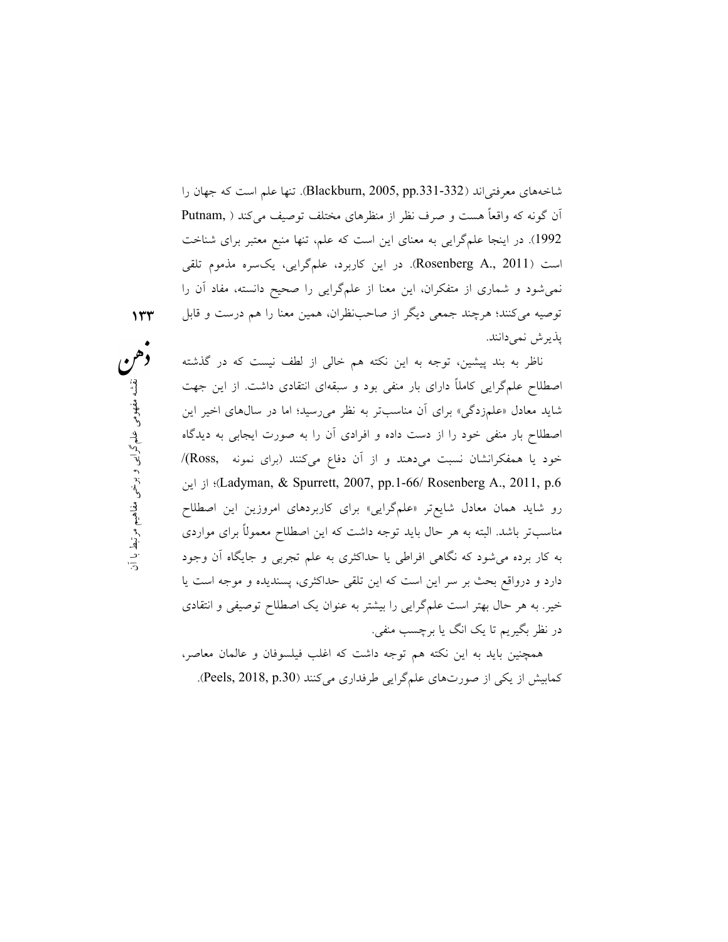شاخههاي معرفتي اند (332-331, Blackburn, 2005, pp). تنها علم است كه جهان را آن گونه كه واقعاً هست و صرف نظر از منظرهاي مختلف توصيف ميكند ( ,Putnam 1992). در اينجا علمگرايي به معناي اين است كه علم، تنها منبع معتبر براي شناخت است (2011 .,A Rosenberg(. در اين كاربرد، علمگرايي، يكسره مذموم تلقي نميشود و شماري از متفكران، اين معنا از علمگرايي را صحيح دانسته، مفاد آن را توصيه ميكنند؛ هرچند جمعي ديگر از صاحبنظران، همين معنا را هم درست و قابل پذيرش نميدانند.

ود و سبقهای انتقادی داشت. از اين جهت<br>به نظر می رسيد؛ اما در سال%اى اخير اين<br>افرادی آن را به صورت ايجابی به ديدگاه<br>فرادی آن دفاع میکنند (برای نمونه .Ross)/<br>برای کاربردهای امروزين اين اصطللح<br>په برای کاربردهای امروزين اين اص ناظر به بند پيشين، توجه به اين نكته هم خالي از لطف نيست كه در گذشته اصطلاح علمگرايي كاملًا داراي بار منفي بود و سبقهاي انتقادي داشت. از اين جهت شايد معادل «علمزدگي» براي آن مناسبتر به نظر ميرسيد؛ اما در سالهاي اخير اين اصطلاح بار منفي خود را از دست داده و افرادي آن را به صورت ايجابي به ديدگاه خود يا همفكرانشان نسبت ميدهند و از آن دفاع ميكنند (براي نمونه ,Ross(/ از اين (Ladyman, & Spurrett, 2007, pp.1-66/ Rosenberg A., 2011, p.6 رو شايد همان معادل شايعتر «علمگرايي» براي كاربردهاي امروزين اين اصطلاح مناسبتر باشد. البته به هر حال بايد توجه داشت كه اين اصطلاح معمولًا براي مواردي به كار برده ميشود كه نگاهي افراطي يا حداكثري به علم تجربي و جايگاه آن وجود دارد و درواقع بحث بر سر اين است كه اين تلقي حداكثري، پسنديده و موجه است يا خير. به هر حال بهتر است علمگرايي را بيشتر به عنوان يك اصطلاح توصيفي و انتقادي در نظر بگيريم تا يك انگ يا برچسب منفي.

> همچنين بايد به اين نكته هم توجه داشت كه اغلب فيلسوفان و عالمان معاصر، كمابيش از يكي از صورتهاي علمگرايي طرفداري ميكنند (Peels, 2018, p.30).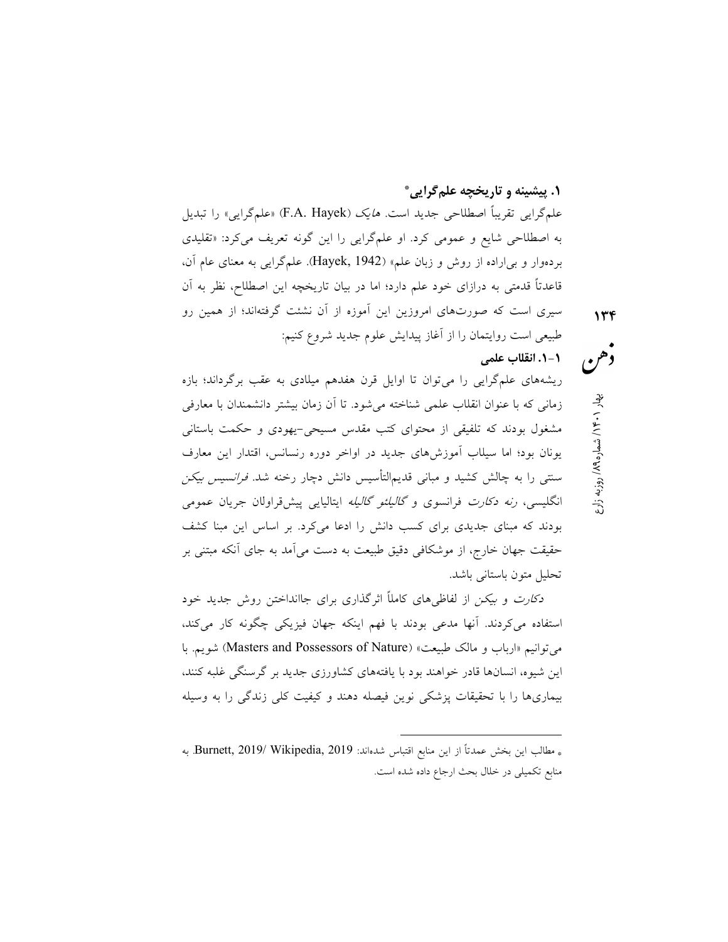.١ پيشينه و تاريخچه علمگرايي \*

علمگرايي تقريباً اصطلاحي جديد است. *هايک (*F.A. Hayek) «علمگرايي» را تبديل به اصطلاحي شايع و عمومي كرد. او علمگرايي را اين گونه تعريف ميكرد: «تقليدي بردهوار و بياراده از روش و زبان علم» (1942 ,Hayek(. علمگرايي به معناي عام آن، قاعدتًا قدمتي به درازاي خود علم دارد؛ اما در بيان تاريخچه اين اصطلاح، نظر به آن سيري است كه صورتهاي امروزين اين آموزه از آن نشئت گرفتهاند؛ از همين رو طبيعي است روايتمان را از آغاز پيدايش علوم جديد شروع كنيم:

روزبه زارع / ۱۴۰/ شماره ۱۸۹<sub>۹ ب</sub>هار ۱۶۰۱ بهار<br>هم هم

## -١ .١ انقلاب علمي

ريشههاي علمگرايي را ميتوان تا اوايل قرن هفدهم ميلادي به عقب برگرداند؛ بازه زماني كه با عنوان انقلاب علمي شناخته ميشود. تا آن زمان بيشتر دانشمندان با معارفي مشغول بودند كه تلفيقي از محتواي كتب مقدس مسيحي- يهودي و حكمت باستاني يونان بود؛ اما سيلاب آموزشهاي جديد در اواخر دوره رنسانس، اقتدار اين معارف سنتي را به چالش كشيد و مباني قديمالتأسيس دانش دچار رخنه شد. فرانسيس بيكن انگليسي، *رنه دكارت* فرانسوي و *گاليلئو گاليله* ايتاليايي پيشقراولان جريان عمومي بودند كه مبناي جديدي براي كسب دانش را ادعا ميكرد. بر اساس اين مبنا كشف حقيقت جهان خارج، از موشكافي دقيق طبيعت به دست ميآمد به جاي آنكه مبتني بر تحليل متون باستاني باشد.

دكارت و بيكن از لفاظيهاي كاملًا اثرگذاري براي جاانداختن روش جديد خود استفاده ميكردند. آنها مدعي بودند با فهم اينكه جهان فيزيكي چگونه كار ميكند، مي توانيم «ارباب و مالك طبيعت» (Masters and Possessors of Nature) شويم. با اين شيوه، انسانها قادر خواهند بود با يافتههاي كشاورزي جديد بر گرسنگي غلبه كنند، بيماريها را با تحقيقات پزشكي نوين فيصله دهند و كيفيت كلي زندگي را به وسيله

-

<sup>\*</sup> مطالب اين بخش عمدتاً از اين منابع اقتباس شدهاند: 2019 ,Wikipedia 2019/ ,Burnett. به منابع تكميلي در خلال بحث ارجاع داده شده است.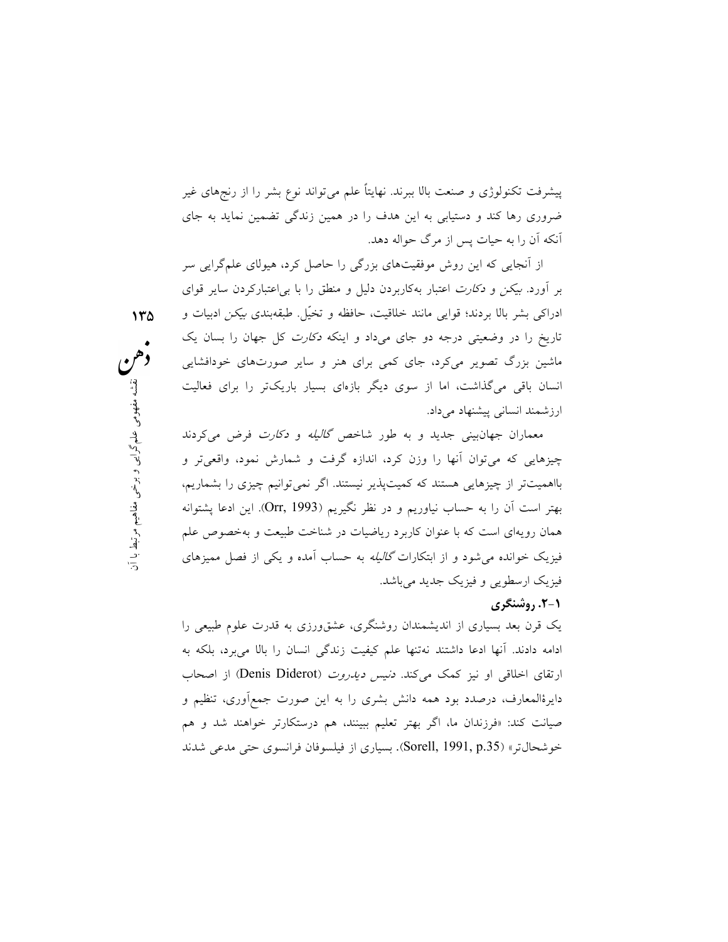پيشرفت تكنولوژي و صنعت بالا ببرند. نهايتًا علم ميتواند نوع بشر را از رنجهاي غير ضروري رها كند و دستيابي به اين هدف را در همين زندگي تضمين نمايد به جاي آنكه آن را به حيات پس از مرگ حواله دهد.

از آنجايي كه اين روش موفقيتهاي بزرگي را حاصل كرد، هيولاي علمگرايي سر بر آورد. بيكن و دكارت اعتبار بهكاربردن دليل و منطق را با بياعتباركردن ساير قواي ادراكي بشر بالا بردند؛ قوايي مانند خلاقيت، حافظه و تخّيل. طبقهبندي بيكن ادبيات و تاريخ را در وضعيتي درجه دو جاي ميداد و اينكه *دكارت* كل جهان را بسان يك ماشين بزرگ تصوير ميكرد، جاي كمي براي هنر و ساير صورتهاي خودافشايي انسان باقي ميگذاشت، اما از سوي ديگر بازهاي بسيار باريكتر را براي فعاليت ارزشمند انساني پيشنهاد ميداد.

ئر بازهای بسيار باريکتر را برای فعاليت<br>شاخص *گاليله و دکارت فرض می*کردند<br>ندازه گرفت و شمارش نمود، واقعیتر و به تهیه مفهوم<br>بر نيستند. اگر نمیتوانيم چيزی را بشماريم،<br>بر نيستند. اگر نمیتوانيم چيزی را بشماريم،<br>نقل نگيريم (Orr معماران جهانبيني جديد و به طور شاخص گاليله و دكارت فرض ميكردند چيزهايي كه ميتوان آنها را وزن كرد، اندازه گرفت و شمارش نمود، واقعيتر و بااهميتتر از چيزهايي هستند كه كميتپذير نيستند. اگر نميتوانيم چيزي را بشماريم، بهتر است آن را به حساب نياوريم و در نظر نگيريم (1993 ,Orr(. اين ادعا پشتوانه همان رويهاي است كه با عنوان كاربرد رياضيات در شناخت طبيعت و بهخصوص علم فيزيك خوانده ميشود و از ابتكارات گاليله به حساب آمده و يكي از فصل مميزهاي فيزيك ارسطويي و فيزيك جديد ميباشد.

#### -١ .٢ روشنگري

يك قرن بعد بسياري از انديشمندان روشنگري، عشقورزي به قدرت علوم طبيعي را ادامه دادند. آنها ادعا داشتند نهتنها علم كيفيت زندگي انسان را بالا ميبرد، بلكه به ارتقاي اخلاقي او نيز كمك مي كند. د*نيس ديدروت (Denis Diderot*) از اصحاب دايرةالمعارف، درصدد بود همه دانش بشري را به اين صورت جمعآوري، تنظيم و صيانت كند: «فرزندان ما، اگر بهتر تعليم ببينند، هم درستكارتر خواهند شد و هم خوشحالتر» (.35p 1991, ,Sorell(. بسياري از فيلسوفان فرانسوي حتي مدعي شدند

 ١٣٥ دهن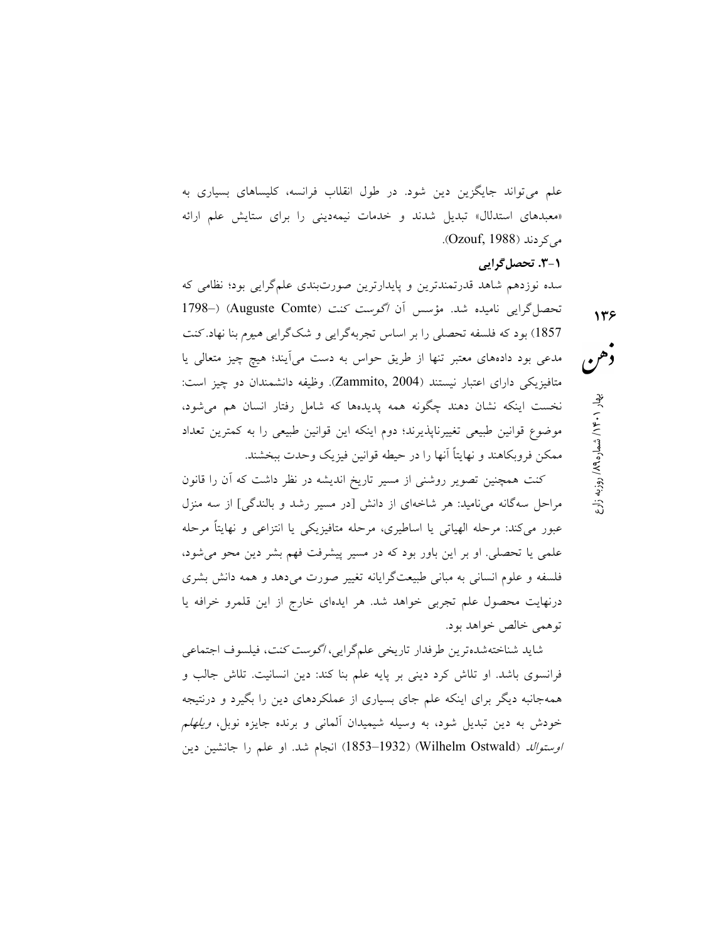علم ميتواند جايگزين دين شود. در طول انقلاب فرانسه، كليساهاي بسياري به «معبدهاي استدلال» تبديل شدند و خدمات نيمهديني را براي ستايش علم ارائه مي كردند (Ozouf, 1988).

## -١ .٣ تحصلگرايي

سده نوزدهم شاهد قدرتمندترين و پايدارترين صورتبندي علمگرايي بود؛ نظامي كه تحصل گرايي ناميده شد. مؤسس آن اگوست كنت (Auguste Comte) (-1798) 1857) بود كه فلسفه تحصلي را بر اساس تجربهگرايي و شكگرايي هيوم بنا نهاد. كنت مدعي بود دادههاي معتبر تنها از طريق حواس به دست ميآيند؛ هيچ چيز متعالي يا متافيزيكي داراي اعتبار نيستند (2004 ,Zammito(. وظيفه دانشمندان دو چيز است: نخست اينكه نشان دهند چگونه همه پديدهها كه شامل رفتار انسان هم ميشود، موضوع قوانين طبيعي تغييرناپذيرند؛ دوم اينكه اين قوانين طبيعي را به كمترين تعداد ممكن فروبكاهند و نهايتًا آنها را در حيطه قوانين فيزيك وحدت ببخشند.

كنت همچنين تصوير روشني از مسير تاريخ انديشه در نظر داشت كه آن را قانون مراحل سهگانه ميناميد: هر شاخهاي از دانش [در مسير رشد و بالندگي] از سه منزل عبور ميكند: مرحله الهياتي يا اساطيري، مرحله متافيزيكي يا انتزاعي و نهايتًا مرحله علمي يا تحصلي. او بر اين باور بود كه در مسير پيشرفت فهم بشر دين محو ميشود، فلسفه و علوم انساني به مباني طبيعتگرايانه تغيير صورت ميدهد و همه دانش بشري درنهايت محصول علم تجربي خواهد شد. هر ايدهاي خارج از اين قلمرو خرافه يا توهمي خالص خواهد بود.

شايد شناختهشدهترين طرفدار تاريخي علمگرايي، اگوست كنت، فيلسوف اجتماعي فرانسوي باشد. او تلاش كرد ديني بر پايه علم بنا كند: دين انسانيت. تلاش جالب و همهجانبه ديگر براي اينكه علم جاي بسياري از عملكردهاي دين را بگيرد و درنتيجه خودش به دين تبديل شود، به وسيله شيميدان آلماني و برنده جايزه نوبل، ويلهلم ا*وستوالد (*Wilhelm Ostwald) (1853–1853) انجام شد. او علم را جانشين دين روزبه زارع / ۱۴۰/ شماره ۱۹۷<sub>۹ با</sub>ر بهار ۱۴۰۱ بهار استان ۱۳۶۵ بهار استان ۱۳۶۵ بهار استان ۱۳۶۵ بهار استان ۱۳۶۵ بهار<br>همار ۱۴۰۱ به شمار ۱۳۵۵ به ۱۳۶۵ به استان ۱۳۶۵ به استان ۱۳۶۵ به استان ۱۳۶۵ به استان ۱۳۶۵ به استان ۱۳۶۵ به است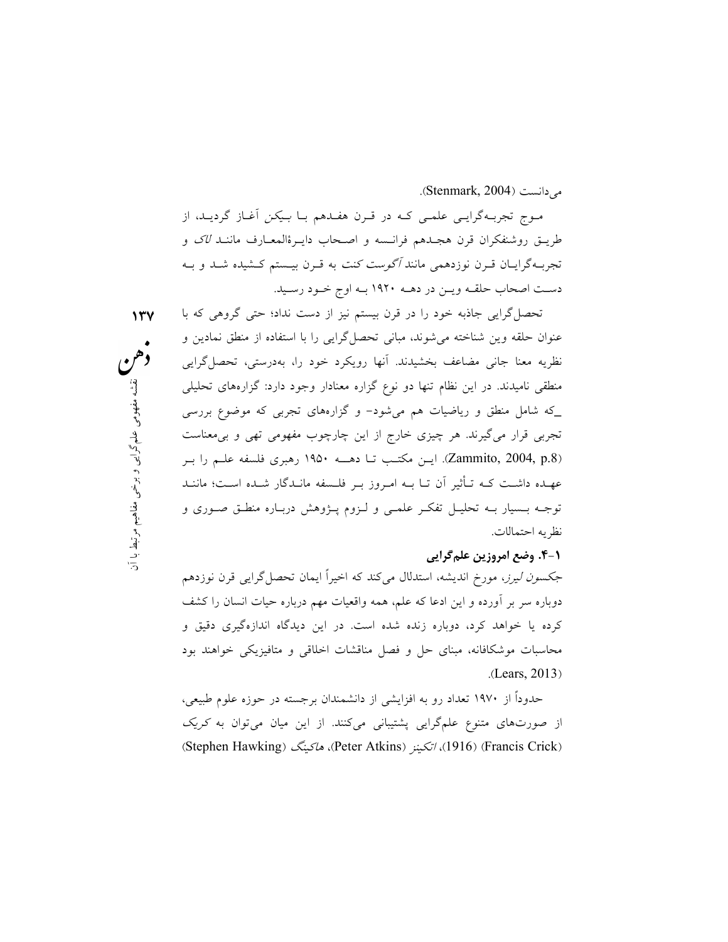ميدانست (2004 ,Stenmark(.

مـوج تجربـهگرايـي علمـي كـه در قـرن هفـدهم بـا بـيكن آغـاز گرديـد، از طريـق روشنفكران قرن هجـدهم فرانـسه و اصـحاب دايـرةالمعـارف ماننـد لاك و تجربـهگرايـان قـرن نوزدهمي مانند آگوست كنت به قـرن بيـستم كـشيده شـد و بـه دسـت اصحاب حلقـه ويـن در دهـه ١٩٢٠ بـه اوج خـود رسـيد.

گزاره معنادار وجود دارد: گزارههای تحليلی<br>- و گزارههای تجربی كه موضوع بررسی<br>\_ اين چارچوب مفهومی تهی و بیαمعناست<br>\_ ا دهـــه ١٩۵٠ رهبری فلسفه علــم را بــر<br>\_ ز بــر فلــسفه مانــدگار شــده اســت؛ ماننــد<br>\_ ز بــر فلــسفه مان تحصلگرايي جاذبه خود را در قرن بيستم نيز از دست نداد؛ حتي گروهي كه با عنوان حلقه وين شناخته ميشوند، مباني تحصلگرايي را با استفاده از منطق نمادين و نظريه معنا جاني مضاعف بخشيدند. آنها رويكرد خود را، بهدرستي، تحصلگرايي منطقي ناميدند. در اين نظام تنها دو نوع گزاره معنادار وجود دارد: گزارههاي تحليلي \_كه شامل منطق و رياضيات هم ميشود- و گزارههاي تجربي كه موضوع بررسي تجربي قرار ميگيرند. هر چيزي خارج از اين چارچوب مفهومي تهي و بيمعناست (.8p 2004, ,Zammito(. ايـن مكتـب تـا دهــه ١٩٥٠ رهبري فلسفه علـم را بـر عهـده داشـت كـه تـأثير آن تـا بـه امـروز بـر فلـسفه مانـدگار شـده اسـت؛ ماننـد توجـه بـسيار بـه تحليـل تفكـر علمـي و لـزوم پـژوهش دربـاره منطـق صـوري و نظريه احتمالات.

#### -١ .٤ وضع امروزين علمگرايي

ج*كسون ليرز*، مورخ انديشه، استدلال ميكند كه اخيراً ايمان تحصل گرايي قرن نوزدهم دوباره سر بر آورده و اين ادعا كه علم، همه واقعيات مهم درباره حيات انسان را كشف كرده يا خواهد كرد، دوباره زنده شده است. در اين ديدگاه اندازهگيري دقيق و محاسبات موشكافانه، مبناي حل و فصل مناقشات اخلاقي و متافيزيكي خواهند بود .(Lears, 2013)

حدودًا از ١٩٧٠ تعداد رو به افزايشي از دانشمندان برجسته در حوزه علوم طبيعي، از صورتهاي متنوع علمگرايي پشتيباني ميكنند. از اين ميان ميتوان به كريك (Stephen Hawking) هاكينگ ،)Peter Atkins) اتكينز ،)1916) (Francis Crick)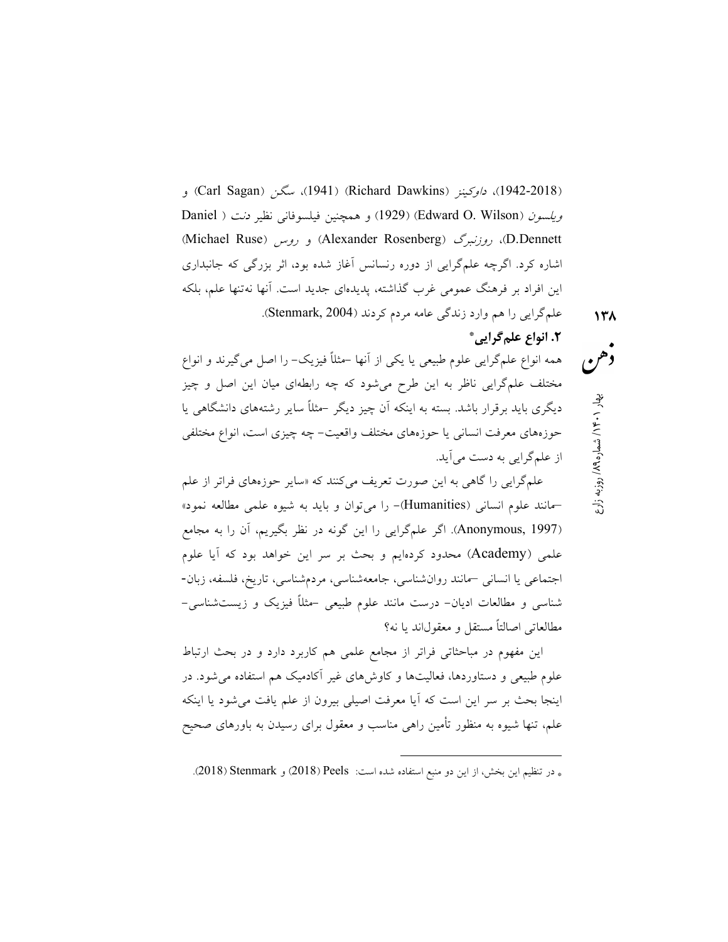و) Carl Sagan) سگن ،)1941) (Richard Dawkins) داوكينز ،)1942-2018( ويلس*ون* (Edward O. Wilson) (1929) و همچنين فيلسوفاني نظير *دنت* ( Daniel (Michael Ruse) روس و) Alexander Rosenberg) روزنبرگ ،)D.Dennett اشاره كرد. اگرچه علمگرايي از دوره رنسانس آغاز شده بود، اثر بزرگي كه جانبداري اين افراد بر فرهنگ عمومي غرب گذاشته، پديدهاي جديد است. آنها نهتنها علم، بلكه علمگرايي را هم وارد زندگي عامه مردم كردند (2004 ,Stenmark(.

.٢ انواع علمگرايي \*

روزبه زارع / ۱۴۰۰ بهار ۱۰۶۰ بهاره ۱۳۸<br>هم<br>روزبه زارع / شماره ۱۳۸ همه انواع علمگرايي علوم طبيعي يا يكي از آنها - مثلًا فيزيك- را اصل ميگيرند و انواع مختلف علمگرايي ناظر به اين طرح ميشود كه چه رابطهاي ميان اين اصل و چيز ديگري بايد برقرار باشد. بسته به اينكه آن چيز ديگر - مثلًا ساير رشتههاي دانشگاهي يا حوزههاي معرفت انساني يا حوزههاي مختلف واقعيت- چه چيزي است، انواع مختلفي از علمگرايي به دست ميآيد.

علمگرايي را گاهي به اين صورت تعريف ميكنند كه «ساير حوزههاي فراتر از علم –مانند علوم انساني (Humanities(- را ميتوان و بايد به شيوه علمي مطالعه نمود» (1997 ,Anonymous(. اگر علمگرايي را اين گونه در نظر بگيريم، آن را به مجامع علمي (Academy (محدود كردهايم و بحث بر سر اين خواهد بود كه آيا علوم اجتماعي يا انساني –مانند روانشناسي، جامعهشناسي، مردمشناسي، تاريخ، فلسفه، زبان- شناسي و مطالعات اديان- درست مانند علوم طبيعي - مثلًا فيزيك و زيستشناسي- مطالعاتي اصالتًا مستقل و معقولاند يا نه؟

اين مفهوم در مباحثاتي فراتر از مجامع علمي هم كاربرد دارد و در بحث ارتباط علوم طبيعي و دستاوردها، فعاليتها و كاوشهاي غير آكادميك هم استفاده ميشود. در اينجا بحث بر سر اين است كه آيا معرفت اصيلي بيرون از علم يافت ميشود يا اينكه علم، تنها شيوه به منظور تأمين راهي مناسب و معقول براي رسيدن به باورهاي صحيح

-

<sup>\*</sup> در تنظيم اين بخش، از اين دو منبع استفاده شده است: Peels) 2018 (و Stenmark) 2018(.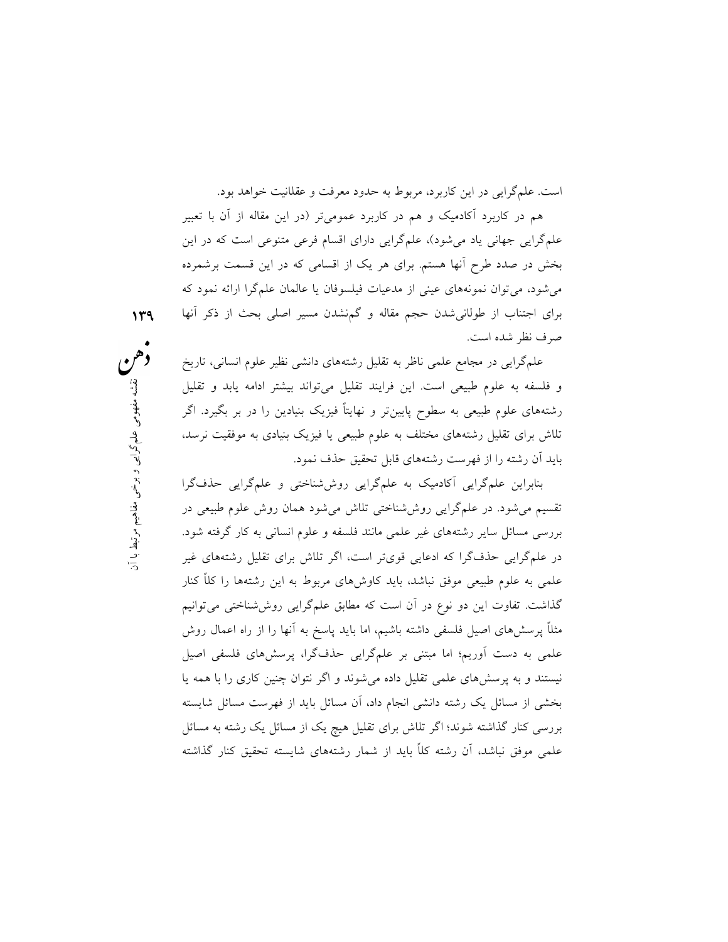است. علمگرايي در اين كاربرد، مربوط به حدود معرفت و عقلانيت خواهد بود.

هم در كاربرد آكادميك و هم در كاربرد عموميتر (در اين مقاله از آن با تعبير علمگرايي جهاني ياد ميشود)، علمگرايي داراي اقسام فرعي متنوعي است كه در اين بخش در صدد طرح آنها هستم. براي هر يك از اقسامي كه در اين قسمت برشمرده ميشود، ميتوان نمونههاي عيني از مدعيات فيلسوفان يا عالمان علمگرا ارائه نمود كه براي اجتناب از طولانيشدن حجم مقاله و گمنشدن مسير اصلي بحث از ذكر آنها صرف نظر شده است.

علمگرايي در مجامع علمي ناظر به تقليل رشتههاي دانشي نظير علوم انساني، تاريخ و فلسفه به علوم طبيعي است. اين فرايند تقليل ميتواند بيشتر ادامه يابد و تقليل رشتههاي علوم طبيعي به سطوح پايينتر و نهايتًا فيزيك بنيادين را در بر بگيرد. اگر تلاش براي تقليل رشتههاي مختلف به علوم طبيعي يا فيزيك بنيادي به موفقيت نرسد، بايد آن رشته را از فهرست رشتههاي قابل تحقيق حذف نمود.

لد تقليل مىتواند بيشتر ادامه يابد و تقليل<br>و نهايتاً فيزيک بنيادين را در بر بگيرد. اگر<br>م طبيعى يا فيزيک بنيادى به موفقيت نرسد،<br>خقيق حذف نمود.<br>تلتاش مىشود همان روش علوم طبيعى در متخصير بارد.<br>تلتاش مىشود همان روش علوم طبيعى بنابراين علمگرايي آكادميك به علمگرايي روششناختي و علمگرايي حذفگرا تقسيم ميشود. در علمگرايي روششناختي تلاش ميشود همان روش علوم طبيعي در بررسي مسائل ساير رشتههاي غير علمي مانند فلسفه و علوم انساني به كار گرفته شود. در علمگرايي حذفگرا كه ادعايي قويتر است، اگر تلاش براي تقليل رشتههاي غير علمي به علوم طبيعي موفق نباشد، بايد كاوشهاي مربوط به اين رشتهها را كلًا كنار گذاشت. تفاوت اين دو نوع در آن است كه مطابق علمگرايي روششناختي ميتوانيم مثلًا پرسشهاي اصيل فلسفي داشته باشيم، اما بايد پاسخ به آنها را از راه اعمال روش علمي به دست آوريم؛ اما مبتني بر علمگرايي حذفگرا، پرسشهاي فلسفي اصيل نيستند و به پرسشهاي علمي تقليل داده ميشوند و اگر نتوان چنين كاري را با همه يا بخشي از مسائل يك رشته دانشي انجام داد، آن مسائل بايد از فهرست مسائل شايسته بررسي كنار گذاشته شوند؛ اگر تلاش براي تقليل هيچ يك از مسائل يك رشته به مسائل علمي موفق نباشد، آن رشته كلاً بايد از شمار رشتههاي شايسته تحقيق كنار گذاشته

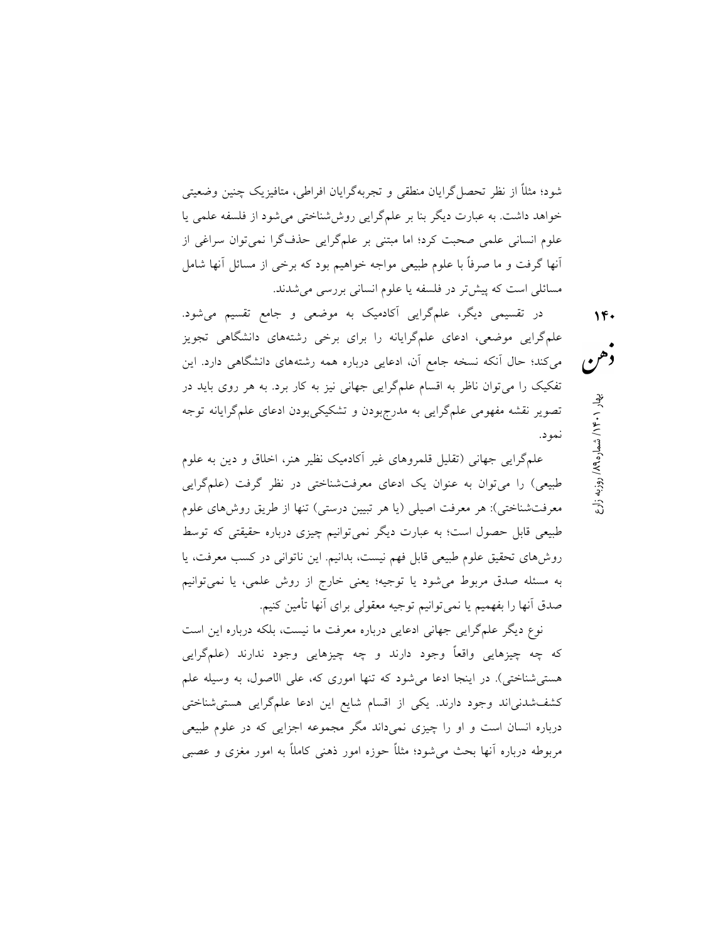شود؛ مثلًا از نظر تحصلگرايان منطقي و تجربهگرايان افراطي، متافيزيك چنين وضعيتي خواهد داشت. به عبارت ديگر بنا بر علمگرايي روششناختي ميشود از فلسفه علمي يا علوم انساني علمي صحبت كرد؛ اما مبتني بر علمگرايي حذفگرا نميتوان سراغي از آنها گرفت و ما صرفًا با علوم طبيعي مواجه خواهيم بود كه برخي از مسائل آنها شامل مسائلي است كه پيشتر در فلسفه يا علوم انساني بررسي ميشدند.

در تقسيمي ديگر، علمگرايي آكادميك به موضعي و جامع تقسيم ميشود. علمگرايي موضعي، ادعاي علمگرايانه را براي برخي رشتههاي دانشگاهي تجويز ميكند؛ حال آنكه نسخه جامع آن، ادعايي درباره همه رشتههاي دانشگاهي دارد. اين تفكيك را ميتوان ناظر به اقسام علمگرايي جهاني نيز به كار برد. به هر روي بايد در تصوير نقشه مفهومي علمگرايي به مدرجبودن و تشكيكيبودن ادعاي علمگرايانه توجه نمود.

علمگرايي جهاني (تقليل قلمروهاي غير آكادميك نظير هنر، اخلاق و دين به علوم طبيعي) را ميتوان به عنوان يك ادعاي معرفتشناختي در نظر گرفت (علمگرايي معرفتشناختي): هر معرفت اصيلي (يا هر تبيين درستي) تنها از طريق روشهاي علوم طبيعي قابل حصول است؛ به عبارت ديگر نميتوانيم چيزي درباره حقيقتي كه توسط روشهاي تحقيق علوم طبيعي قابل فهم نيست، بدانيم. اين ناتواني در كسب معرفت، يا به مسئله صدق مربوط ميشود يا توجيه؛ يعني خارج از روش علمي، يا نميتوانيم صدق آنها را بفهميم يا نمي توانيم توجيه معقولي براي آنها تأمين كنيم.

نوع ديگر علمگرايي جهاني ادعايي درباره معرفت ما نيست، بلكه درباره اين است كه چه چيزهايي واقعًا وجود دارند و چه چيزهايي وجود ندارند (علمگرايي هستيشناختي). در اينجا ادعا ميشود كه تنها اموري كه، علي الاصول، به وسيله علم كشفشدنياند وجود دارند. يكي از اقسام شايع اين ادعا علمگرايي هستيشناختي درباره انسان است و او را چيزي نميداند مگر مجموعه اجزايي كه در علوم طبيعي مربوطه درباره آنها بحث ميشود؛ مثلًا حوزه امور ذهني كاملاً به امور مغزي و عصبي روزبه زارع / ۱۴۰ بهار ۱۰۶۰/ شماره ۱۸۹<sub>۹ ، وزن</sub>به زارع<br>**هم** بهار ۱۴۰۱ به شماره ۱۸۹<sub>۹</sub>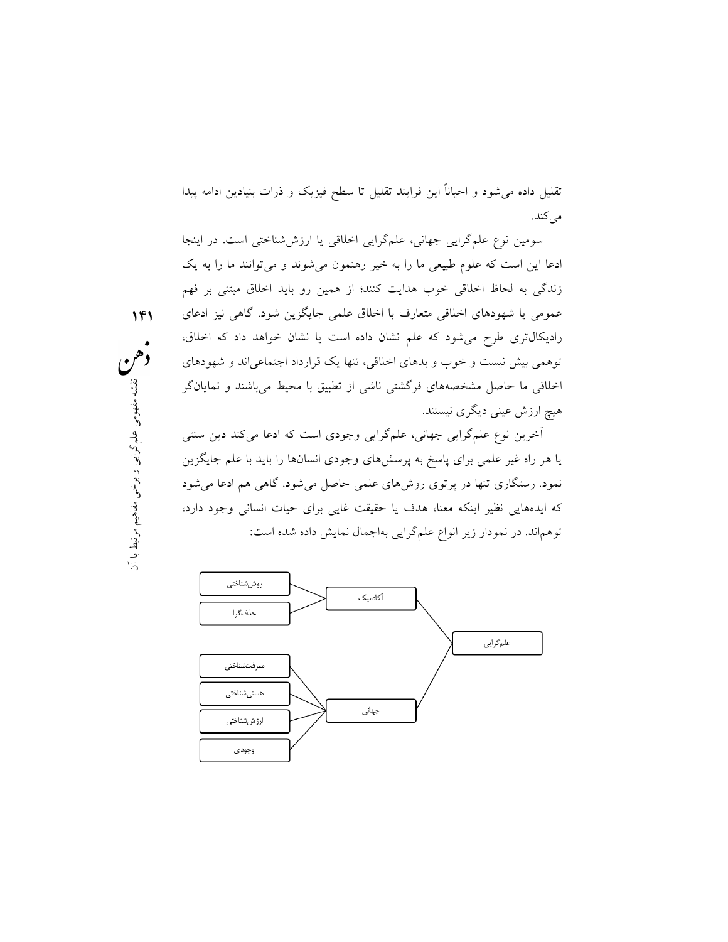تقليل داده ميشود و احيانًا اين فرايند تقليل تا سطح فيزيك و ذرات بنيادين ادامه پيدا مي كند.

سومين نوع علمگرايي جهاني، علمگرايي اخلاقي يا ارزششناختي است. در اينجا ادعا اين است كه علوم طبيعي ما را به خير رهنمون ميشوند و ميتوانند ما را به يك زندگي به لحاظ اخلاقي خوب هدايت كنند؛ از همين رو بايد اخلاق مبتني بر فهم عمومي يا شهودهاي اخلاقي متعارف با اخلاق علمي جايگزين شود. گاهي نيز ادعاي راديكالتري طرح ميشود كه علم نشان داده است يا نشان خواهد داد كه اخلاق، توهمي بيش نيست و خوب و بدهاي اخلاقي، تنها يك قرارداد اجتماعياند و شهودهاي اخلاقي ما حاصل مشخصههاي فرگشتي ناشي از تطبيق با محيط ميباشند و نمايانگر هيچ ارزش عيني ديگري نيستند.

شى از تطبيق با محيط مىباشند و نمايانگر<br>بى وجودى است كه ادعا مىكند دين سنتى<br>اى وجودى انسانها را بايد با علم جايگزين<br>ملمى حاصل مىشود. گاهى هم ادعا مىشود<br>يقت غايى براى حيات انسانى وجود دارد،<br>يقت غايى براى حيات انسانى وجود دا آخرين نوع علمگرايي جهاني، علمگرايي وجودي است كه ادعا ميكند دين سنتي يا هر راه غير علمي براي پاسخ به پرسشهاي وجودي انسانها را بايد با علم جايگزين نمود. رستگاري تنها در پرتوي روشهاي علمي حاصل ميشود. گاهي هم ادعا ميشود كه ايدههايي نظير اينكه معنا، هدف يا حقيقت غايي براي حيات انساني وجود دارد، توهماند. در نمودار زير انواع علمگرايي بهاجمال نمايش داده شده است:



 ١٤١ وهم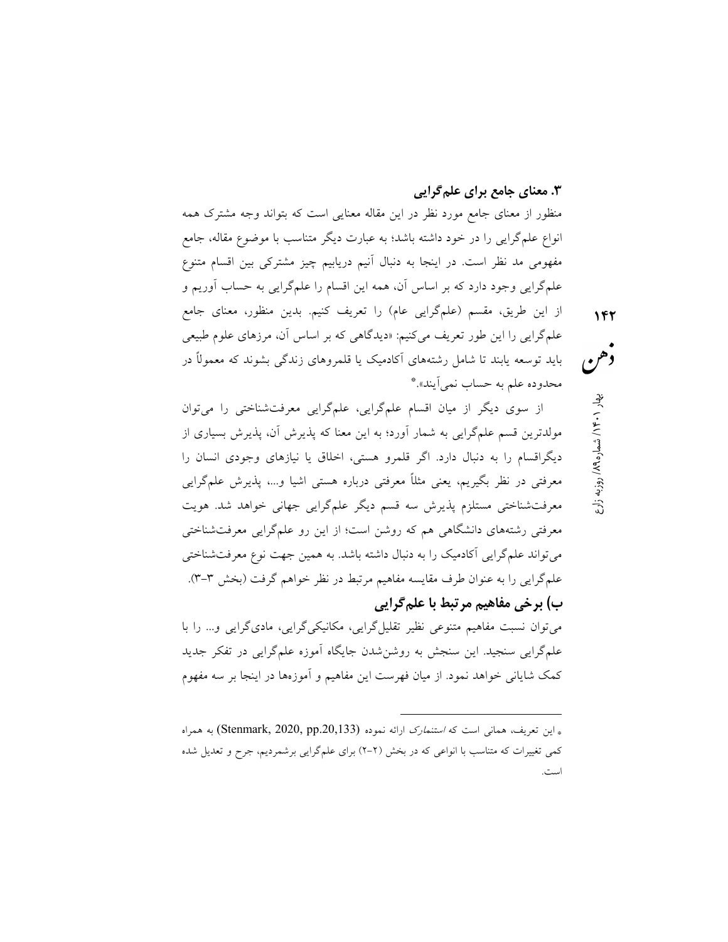#### .٣ معناي جامع براي علمگرايي

منظور از معناي جامع مورد نظر در اين مقاله معنايي است كه بتواند وجه مشترك همه انواع علمگرايي را در خود داشته باشد؛ به عبارت ديگر متناسب با موضوع مقاله، جامع مفهومي مد نظر است. در اينجا به دنبال آنيم دريابيم چيز مشتركي بين اقسام متنوع علمگرايي وجود دارد كه بر اساس آن، همه اين اقسام را علمگرايي به حساب آوريم و از اين طريق، مقسم (علمگرايي عام) را تعريف كنيم. بدين منظور، معناي جامع علمگرايي را اين طور تعريف ميكنيم: «ديدگاهي كه بر اساس آن، مرزهاي علوم طبيعي بايد توسعه يابند تا شامل رشتههاي آكادميك يا قلمروهاي زندگي بشوند كه معمولًا در \* محدوده علم به حساب نميآيند».

از سوي ديگر از ميان اقسام علمگرايي، علمگرايي معرفتشناختي را ميتوان مولدترين قسم علمگرايي به شمار آورد؛ به اين معنا كه پذيرش آن، پذيرش بسياري از ديگراقسام را به دنبال دارد. اگر قلمرو هستي، اخلاق يا نيازهاي وجودي انسان را معرفتي در نظر بگيريم، يعني مثلًا معرفتي درباره هستي اشيا و،... پذيرش علمگرايي معرفتشناختي مستلزم پذيرش سه قسم ديگر علمگرايي جهاني خواهد شد. هويت معرفتي رشتههاي دانشگاهي هم كه روشن است؛ از اين رو علمگرايي معرفتشناختي ميتواند علمگرايي آكادميك را به دنبال داشته باشد. به همين جهت نوع معرفتشناختي علمگرايي را به عنوان طرف مقايسه مفاهيم مرتبط در نظر خواهم گرفت (بخش -٣ ٣). ب) برخي مفاهيم مرتبط با علمگرايي

ميتوان نسبت مفاهيم متنوعي نظير تقليلگرايي، مكانيكيگرايي، ماديگرايي و... را با علمگرايي سنجيد. اين سنجش به روشنشدن جايگاه آموزه علمگرايي در تفكر جديد كمك شاياني خواهد نمود. از ميان فهرست اين مفاهيم و آموزهها در اينجا بر سه مفهوم

-

روزبه زارع / ۱۴۰ بهار ۱۰۶۰/ شماره ۱۸۹ هم<br>هم هم / ۱۴۰۱ به شماره ۱۸۹ هزار ۱۹۶۰/ بهاره<br>ا

باين تعريف، هماني است كه *استنمارك* ارائه نموده (Stenmark, 2020, pp.20,133) به همراه كمي تغييرات كه متناسب با انواعي كه در بخش (-٢ ٢) براي علمگرايي برشمرديم، جرح و تعديل شده است.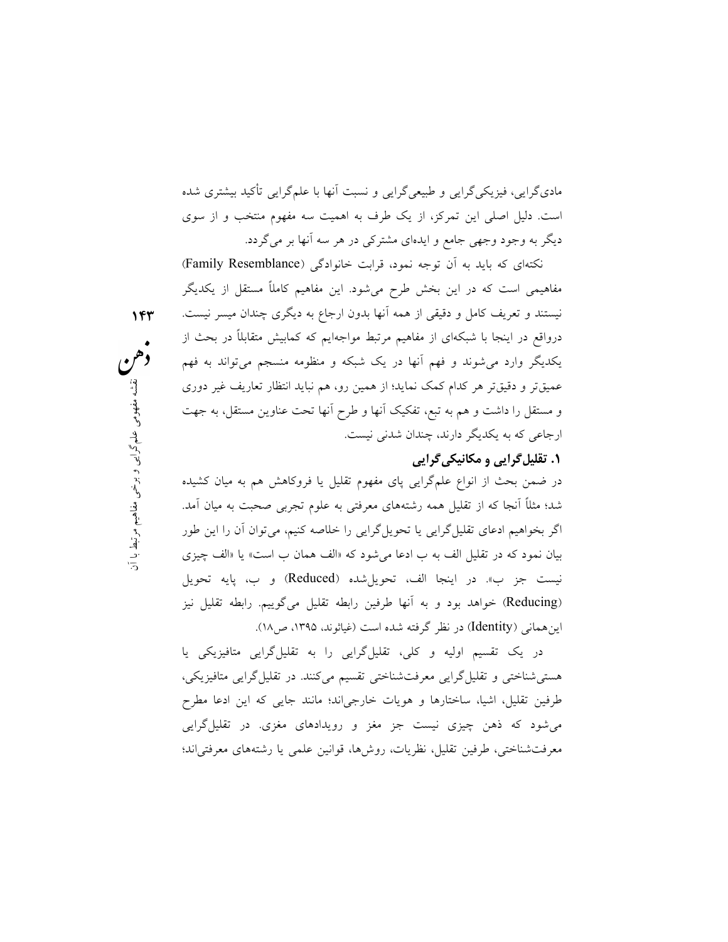ماديگرايي، فيزيكيگرايي و طبيعيگرايي و نسبت آنها با علمگرايي تأكيد بيشتري شده است. دليل اصلي اين تمركز، از يك طرف به اهميت سه مفهوم منتخب و از سوي ديگر به وجود وجهي جامع و ايدهاي مشتركي در هر سه آنها بر ميگردد.

نكتهاي كه بايد به آن توجه نمود، قرابت خانوادگي (Resemblance Family( مفاهيمي است كه در اين بخش طرح ميشود. اين مفاهيم كاملًا مستقل از يكديگر نيستند و تعريف كامل و دقيقي از همه آنها بدون ارجاع به ديگري چندان ميسر نيست. درواقع در اينجا با شبكهاي از مفاهيم مرتبط مواجهايم كه كمابيش متقابلاً در بحث از يكديگر وارد ميشوند و فهم آنها در يك شبكه و منظومه منسجم ميتواند به فهم عميقتر و دقيقتر هر كدام كمك نمايد؛ از همين رو، هم نبايد انتظار تعاريف غير دوري و مستقل را داشت و هم به تبع، تفكيك آنها و طرح آنها تحت عناوين مستقل، به جهت ارجاعي كه به يكديگر دارند، چندان شدني نيست.

١٤٣

## .١ تقليلگرايي و مكانيكيگرايي

معمین رو، هم نباید انتظار تعاریف غیر دوری<br>ا و طرح آنها تحت عناوین مستقل، به جهت<br>نیست.<br>مجوم تقلیل یا فروکاهش هم به میان کشیده<br>محرفتی به علوم تجربی صحبت به میان آمد.<br>مود که «الف همان ب است» یا «الف چیزی<br>مود که «الف همان ب ا در ضمن بحث از انواع علمگرايي پاي مفهوم تقليل يا فروكاهش هم به ميان كشيده شد؛ مثلًا آنجا كه از تقليل همه رشتههاي معرفتي به علوم تجربي صحبت به ميان آمد. اگر بخواهيم ادعاي تقليلگرايي يا تحويلگرايي را خلاصه كنيم، ميتوان آن را اين طور بيان نمود كه در تقليل الف به ب ادعا ميشود كه «الف همان ب است» يا «الف چيزي نيست جز ب». در اينجا الف، تحويلشده (Reduced (و ب، پايه تحويل (Reducing (خواهد بود و به آنها طرفين رابطه تقليل ميگوييم. رابطه تقليل نيز اينهماني (Identity (در نظر گرفته شده است (غياثوند، ،١٣٩٥ ص١٨).

> در يك تقسيم اوليه و كلي، تقليلگرايي را به تقليلگرايي متافيزيكي يا هستيشناختي و تقليلگرايي معرفتشناختي تقسيم ميكنند. در تقليلگرايي متافيزيكي، طرفين تقليل، اشيا، ساختارها و هويات خارجياند؛ مانند جايي كه اين ادعا مطرح ميشود كه ذهن چيزي نيست جز مغز و رويدادهاي مغزي. در تقليلگرايي معرفتشناختي، طرفين تقليل، نظريات، روشها، قوانين علمي يا رشتههاي معرفتياند؛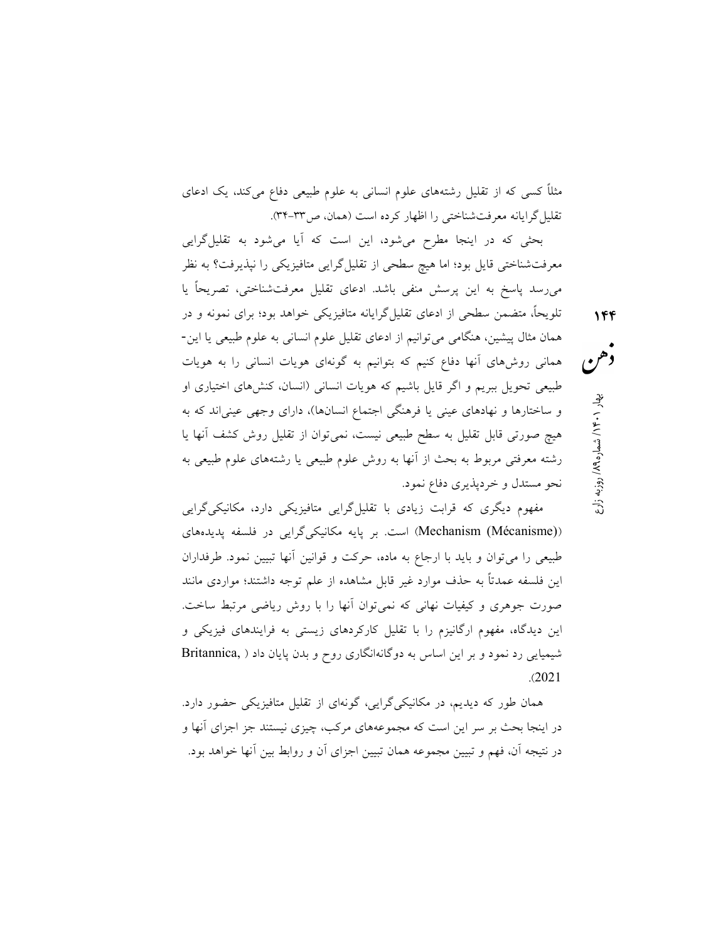مثلًا كسي كه از تقليل رشتههاي علوم انساني به علوم طبيعي دفاع ميكند، يك ادعاي تقليلگرايانه معرفتشناختي را اظهار كرده است (همان، ص٣٤-٣٣).

بحثي كه در اينجا مطرح ميشود، اين است كه آيا ميشود به تقليلگرايي معرفتشناختي قايل بود؛ اما هيچ سطحي از تقليلگرايي متافيزيكي را نپذيرفت؟ به نظر ميرسد پاسخ به اين پرسش منفي باشد. ادعاي تقليل معرفتشناختي، تصريحًا يا تلويحًا، متضمن سطحي از ادعاي تقليلگرايانه متافيزيكي خواهد بود؛ براي نمونه و در همان مثال پيشين، هنگامي ميتوانيم از ادعاي تقليل علوم انساني به علوم طبيعي يا اين- هماني روشهاي آنها دفاع كنيم كه بتوانيم به گونهاي هويات انساني را به هويات طبيعي تحويل ببريم و اگر قايل باشيم كه هويات انساني (انسان، كنشهاي اختياري او و ساختارها و نهادهاي عيني يا فرهنگي اجتماع انسانها)، داراي وجهي عينياند كه به هيچ صورتي قابل تقليل به سطح طبيعي نيست، نميتوان از تقليل روش كشف آنها يا رشته معرفتي مربوط به بحث از آنها به روش علوم طبيعي يا رشتههاي علوم طبيعي به نحو مستدل و خردپذيري دفاع نمود.

مفهوم ديگري كه قرابت زيادي با تقليلگرايي متافيزيكي دارد، مكانيكيگرايي ((Mechanism (Mécanisme) است. بر پايه مكانيكيگرايي در فلسفه پديدههاي طبيعي را ميتوان و بايد با ارجاع به ماده، حركت و قوانين آنها تبيين نمود. طرفداران اين فلسفه عمدتًا به حذف موارد غير قابل مشاهده از علم توجه داشتند؛ مواردي مانند صورت جوهري و كيفيات نهاني كه نميتوان آنها را با روش رياضي مرتبط ساخت. اين ديدگاه، مفهوم ارگانيزم را با تقليل كاركردهاي زيستي به فرايندهاي فيزيكي و شيميايي رد نمود و بر اين اساس به دوگانهانگاري روح و بدن پايان داد ( ,Britannica .(2021

همان طور كه ديديم، در مكانيكيگرايي، گونهاي از تقليل متافيزيكي حضور دارد. در اينجا بحث بر سر اين است كه مجموعههاي مركب، چيزي نيستند جز اجزاي آنها و در نتيجه آن، فهم و تبيين مجموعه همان تبيين اجزاي آن و روابط بين آنها خواهد بود.

روزبه زارع / ۱۴۰/ شماره ۱۸۹<sub>۹ ب</sub>هار ۱۶۰۱ بهار<br>هم هم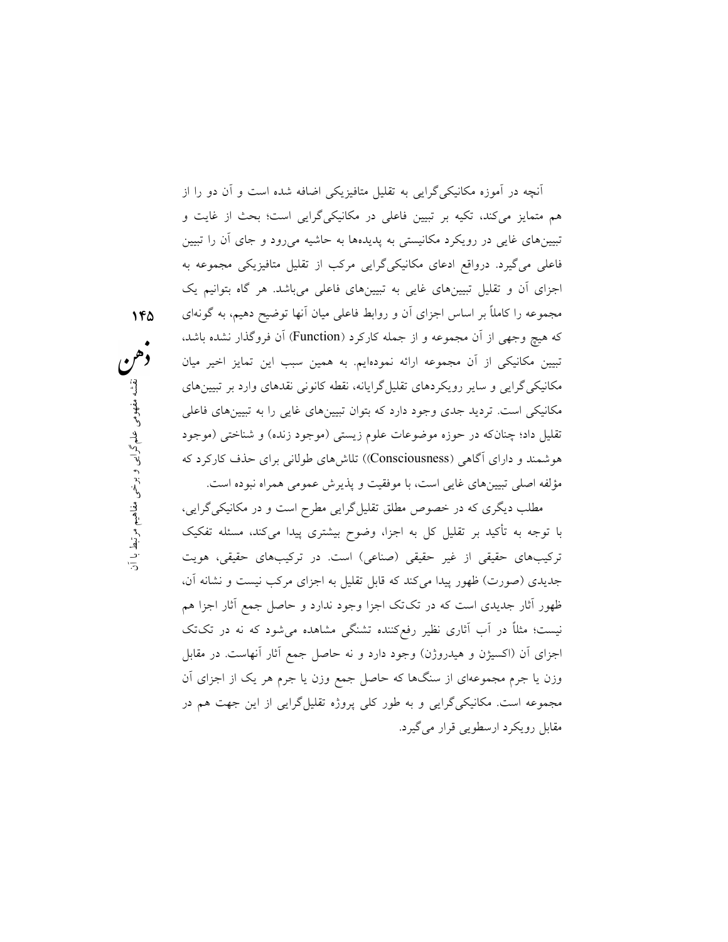ايانه، نقطه كانونى نقدهاى وارد بر تبيينهاى<br>بتوان تبيينهاى غايى را به تبيينهاى فاعلى<br>برم زيستى (موجود زنده) و شناختى (موجود<br>))) تلاش هاى طولانى براى حذف كاركرد كه<br>)) تلاش هاى طولانى براى حذف كاركرد كه<br>قليل گرايى مطرح است و آنچه در آموزه مكانيكيگرايي به تقليل متافيزيكي اضافه شده است و آن دو را از هم متمايز ميكند، تكيه بر تبيين فاعلي در مكانيكيگرايي است؛ بحث از غايت و تبيينهاي غايي در رويكرد مكانيستي به پديدهها به حاشيه ميرود و جاي آن را تبيين فاعلي ميگيرد. درواقع ادعاي مكانيكيگرايي مركب از تقليل متافيزيكي مجموعه به اجزاي آن و تقليل تبيينهاي غايي به تبيينهاي فاعلي ميباشد. هر گاه بتوانيم يك مجموعه را كاملًا بر اساس اجزاي آن و روابط فاعلي ميان آنها توضيح دهيم، به گونهاي كه هيچ وجهي از آن مجموعه و از جمله كاركرد (Function (آن فروگذار نشده باشد، تبيين مكانيكي از آن مجموعه ارائه نمودهايم. به همين سبب اين تمايز اخير ميان مكانيكيگرايي و ساير رويكردهاي تقليلگرايانه، نقطه كانوني نقدهاي وارد بر تبيينهاي مكانيكي است. ترديد جدي وجود دارد كه بتوان تبيينهاي غايي را به تبيينهاي فاعلي تقليل داد؛ چنانكه در حوزه موضوعات علوم زيستي (موجود زنده) و شناختي (موجود هوشمند و داراي آگاهي (Consciousness ((تلاشهاي طولاني براي حذف كاركرد كه مؤلفه اصلي تبيينهاي غايي است، با موفقيت و پذيرش عمومي همراه نبوده است.

مطلب ديگري كه در خصوص مطلق تقليلگرايي مطرح است و در مكانيكيگرايي، با توجه به تأكيد بر تقليل كل به اجزا، وضوح بيشتري پيدا ميكند، مسئله تفكيك تركيبهاي حقيقي از غير حقيقي (صناعي) است. در تركيبهاي حقيقي، هويت جديدي (صورت) ظهور پيدا ميكند كه قابل تقليل به اجزاي مركب نيست و نشانه آن، ظهور آثار جديدي است كه در تكتك اجزا وجود ندارد و حاصل جمع آثار اجزا هم نيست؛ مثلًا در آب آثاري نظير رفعكننده تشنگي مشاهده ميشود كه نه در تكتك اجزاي آن (اكسيژن و هيدروژن) وجود دارد و نه حاصل جمع آثار آنهاست. در مقابل وزن يا جرم مجموعهاي از سنگها كه حاصل جمع وزن يا جرم هر يك از اجزاي آن مجموعه است. مكانيكيگرايي و به طور كلي پروژه تقليلگرايي از اين جهت هم در مقابل رويكرد ارسطويي قرار ميگيرد.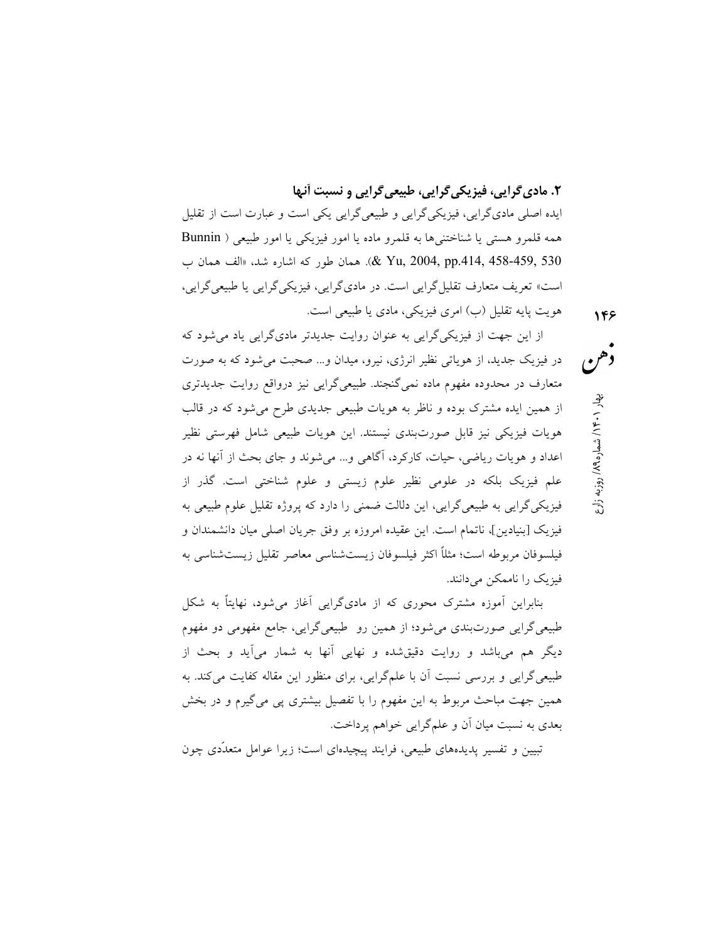.٢ ماديگرايي، فيزيكيگرايي، طبيعيگرايي و نسبت آنها

ايده اصلي ماديگرايي، فيزيكيگرايي و طبيعيگرايي يكي است و عبارت است از تقليل همه قلمرو هستي يا شناختنيها به قلمرو ماده يا امور فيزيكي يا امور طبيعي ( Bunnin 530 458-459, .414,pp 2004, ,Yu(& . همان طور كه اشاره شد، «الف همان ب است» تعريف متعارف تقليلگرايي است. در ماديگرايي، فيزيكيگرايي يا طبيعيگرايي، هويت پايه تقليل (ب) امري فيزيكي، مادي يا طبيعي است.

از اين جهت از فيزيكيگرايي به عنوان روايت جديدتر ماديگرايي ياد ميشود كه در فيزيك جديد، از هوياتي نظير انرژي، نيرو، ميدان و... صحبت ميشود كه به صورت متعارف در محدوده مفهوم ماده نميگنجند. طبيعيگرايي نيز درواقع روايت جديدتري از همين ايده مشترك بوده و ناظر به هويات طبيعي جديدي طرح ميشود كه در قالب هويات فيزيكي نيز قابل صورتبندي نيستند. اين هويات طبيعي شامل فهرستي نظير اعداد و هويات رياضي، حيات، كاركرد، آگاهي و... ميشوند و جاي بحث از آنها نه در علم فيزيك بلكه در علومي نظير علوم زيستي و علوم شناختي است. گذر از فيزيكيگرايي به طبيعيگرايي، اين دلالت ضمني را دارد كه پروژه تقليل علوم طبيعي به فيزيك [بنيادين]، ناتمام است. اين عقيده امروزه بر وفق جريان اصلي ميان دانشمندان و فيلسوفان مربوطه است؛ مثلًا اكثر فيلسوفان زيستشناسي معاصر تقليل زيستشناسي به فيزيك را ناممكن ميدانند.

بنابراين آموزه مشترك محوري كه از ماديگرايي آغاز ميشود، نهايتًا به شكل طبيعيگرايي صورتبندي ميشود؛ از همين رو طبيعيگرايي، جامع مفهومي دو مفهوم ديگر هم ميباشد و روايت دقيقشده و نهايي آنها به شمار ميآيد و بحث از طبيعيگرايي و بررسي نسبت آن با علمگرايي، براي منظور اين مقاله كفايت ميكند. به همين جهت مباحث مربوط به اين مفهوم را با تفصيل بيشتري پي ميگيرم و در بخش بعدي به نسبت ميان آن و علمگرايي خواهم پرداخت.

تبيين و تفسير پديدههاي طبيعي، فرايند پيچيدهاي است؛ زيرا عوامل متعدّدي چون

روزبه زارع / ۱۴۰ بار شماره ۱۹۸ هجر<br>هم هم<br>19 هجر ۱۴۰ بار شماره ۱۸۹ (روزبه زارع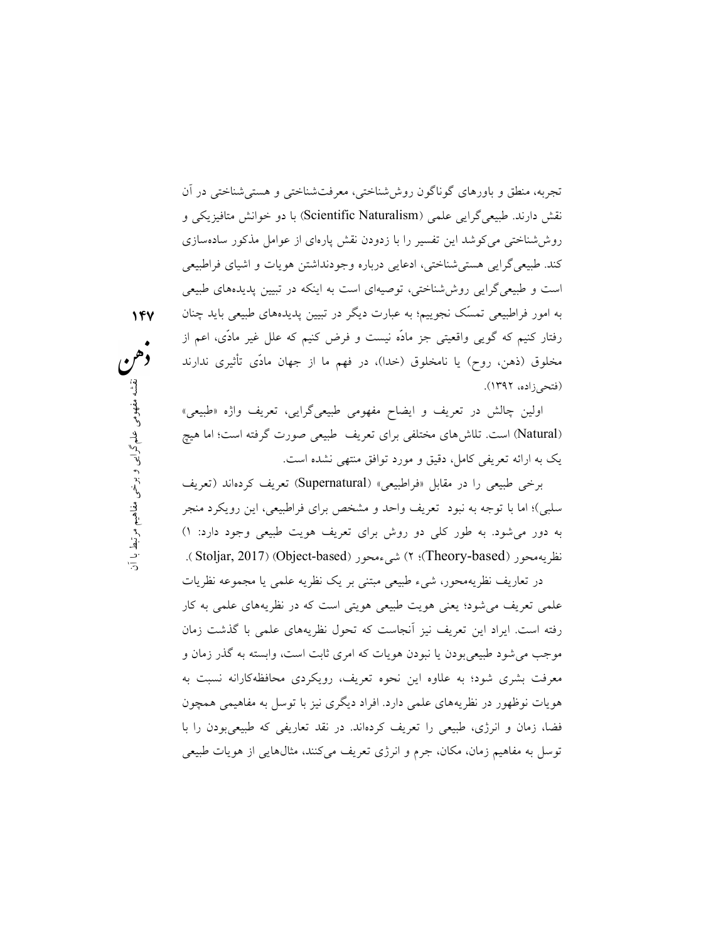تجربه، منطق و باورهاي گوناگون روششناختي، معرفتشناختي و هستيشناختي در آن نقش دارند. طبيعيگرايي علمي (Scientific Naturalism) با دو خوانش متافيزيكي و روششناختي ميكوشد اين تفسير را با زدودن نقش پارهاي از عوامل مذكور سادهسازي كند. طبيعيگرايي هستيشناختي، ادعايي درباره وجودنداشتن هويات و اشياي فراطبيعي است و طبيعيگرايي روششناختي، توصيهاي است به اينكه در تبيين پديدههاي طبيعي به امور فراطبيعي تمسّك نجوييم؛ به عبارت ديگر در تبيين پديدههاي طبيعي بايد چنان رفتار كنيم كه گويي واقعيتي جز ما ّده نيست و فرض كنيم كه علل غير مادّي، اعم از مخلوق (ذهن، روح) يا نامخلوق (خدا)، در فهم ما از جهان مادّي تأثيري ندارند (فتحيزاده، ١٣٩٢).

اولين چالش در تعريف و ايضاح مفهومي طبيعيگرايي، تعريف واژه «طبيعي» (Natural (است. تلاشهاي مختلفي براي تعريف طبيعي صورت گرفته است؛ اما هيچ يك به ارائه تعريفي كامل، دقيق و مورد توافق منتهي نشده است.

نمهومی طبیعیگرايی، تعريف واژه «طبيعی»<br>تعريف طبيعی صورت گرفته است؛ اما هيچ<br>نق منتهی نشده است.<br>مشخص برای فراطبيعی، اين رويکرد منجر مفهوم.<br>شنخص برای فراطبيعی، اين رويکرد منجر مفهوم.<br>رای تعريف هويت طبيعی وجود دارد: ۱)<br>حور (St برخي طبيعي را در مقابل «فراطبيعي» (Supernatural (تعريف كردهاند (تعريف سلبي)؛ اما با توجه به نبود تعريف واحد و مشخص براي فراطبيعي، اين رويكرد منجر به دور ميشود. به طور كلي دو روش براي تعريف هويت طبيعي وجود دارد: ١) .( Stoljar, 2017) (Object-based) شيءمحور) ٢ ؛)Theory-based) نظريهمحور

> در تعاريف نظريهمحور، شيء طبيعي مبتني بر يك نظريه علمي يا مجموعه نظريات علمي تعريف ميشود؛ يعني هويت طبيعي هويتي است كه در نظريههاي علمي به كار رفته است. ايراد اين تعريف نيز آنجاست كه تحول نظريههاي علمي با گذشت زمان موجب ميشود طبيعيبودن يا نبودن هويات كه امري ثابت است، وابسته به گذر زمان و معرفت بشري شود؛ به علاوه اين نحوه تعريف، رويكردي محافظهكارانه نسبت به هويات نوظهور در نظريههاي علمي دارد. افراد ديگري نيز با توسل به مفاهيمي همچون فضا، زمان و انرژي، طبيعي را تعريف كردهاند. در نقد تعاريفي كه طبيعيبودن را با توسل به مفاهيم زمان، مكان، جرم و انرژي تعريف ميكنند، مثالهايي از هويات طبيعي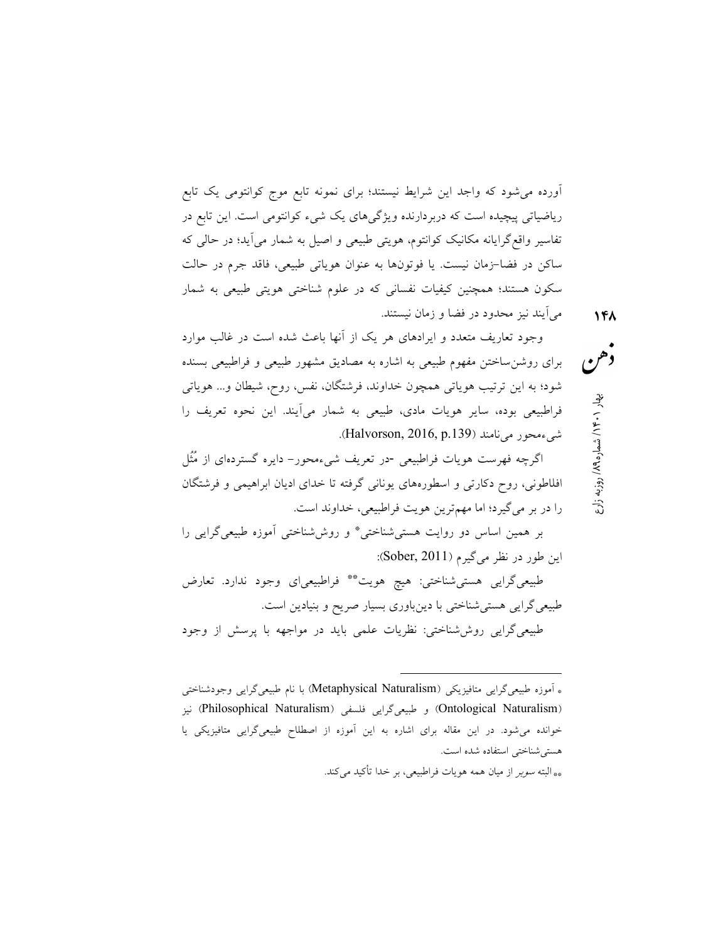آورده ميشود كه واجد اين شرايط نيستند؛ براي نمونه تابع موج كوانتومي يك تابع رياضياتي پيچيده است كه دربردارنده ويژگيهاي يك شيء كوانتومي است. اين تابع در تفاسير واقعگرايانه مكانيك كوانتوم، هويتي طبيعي و اصيل به شمار ميآيد؛ در حالي كه ساكن در فضا-زمان نيست. يا فوتونها به عنوان هوياتي طبيعي، فاقد جرم در حالت سكون هستند؛ همچنين كيفيات نفساني كه در علوم شناختي هويتي طبيعي به شمار ميآيند نيز محدود در فضا و زمان نيستند.

وجود تعاريف متعدد و ايرادهاي هر يك از آنها باعث شده است در غالب موارد براي روشنساختن مفهوم طبيعي به اشاره به مصاديق مشهور طبيعي و فراطبيعي بسنده شود؛ به اين ترتيب هوياتي همچون خداوند، فرشتگان، نفس، روح، شيطان و... هوياتي فراطبيعي بوده، ساير هويات مادي، طبيعي به شمار ميآيند. اين نحوه تعريف را شيءمحور مي نامند (Halvorson, 2016, p.139).

اگرچه فهرست هويات فراطبيعي -در تعريف شيءمحور- دايره گستردهاي از ُمُثل افلاطوني، روح دكارتي و اسطورههاي يوناني گرفته تا خداي اديان ابراهيمي و فرشتگان را در بر ميگيرد؛ اما مهمترين هويت فراطبيعي، خداوند است.

بر همين اساس دو روايت هستي $\vec{z}$ شناختي\* و روششناختي اَموزه طبيعيگرايي را اين طور در نظر مي گيرم (Sober, 2011):

طبيعي گرايي هستي شناختي: هيچ هويت\*\* فراطبيعياي وجود ندارد. تعارض طبيعيگرايي هستيشناختي با دينباوري بسيار صريح و بنيادين است. طبيعيگرايي روششناختي: نظريات علمي بايد در مواجهه با پرسش از وجود

-

روزبه زارع / ۱۴۰ بار شماره ۱۹۸<br>هم<br>روزبه زارع / ۱۴۰ بار شماره ۱۹۸

<sup>\*</sup> آموزه طبيعيگرايي متافيزيكي (Naturalism Metaphysical (با نام طبيعيگرايي وجودشناختي (Ontological Naturalism) و طبيعيگرايي فلسفي (Philosophical Naturalism) نيز خوانده ميشود. در اين مقاله براي اشاره به اين آموزه از اصطلاح طبيعيگرايي متافيزيكي يا هستيشناختي استفاده شده است. \*\* البته سوبر از ميان همه هويات فراطبيعي، بر خدا تأكيد ميكند.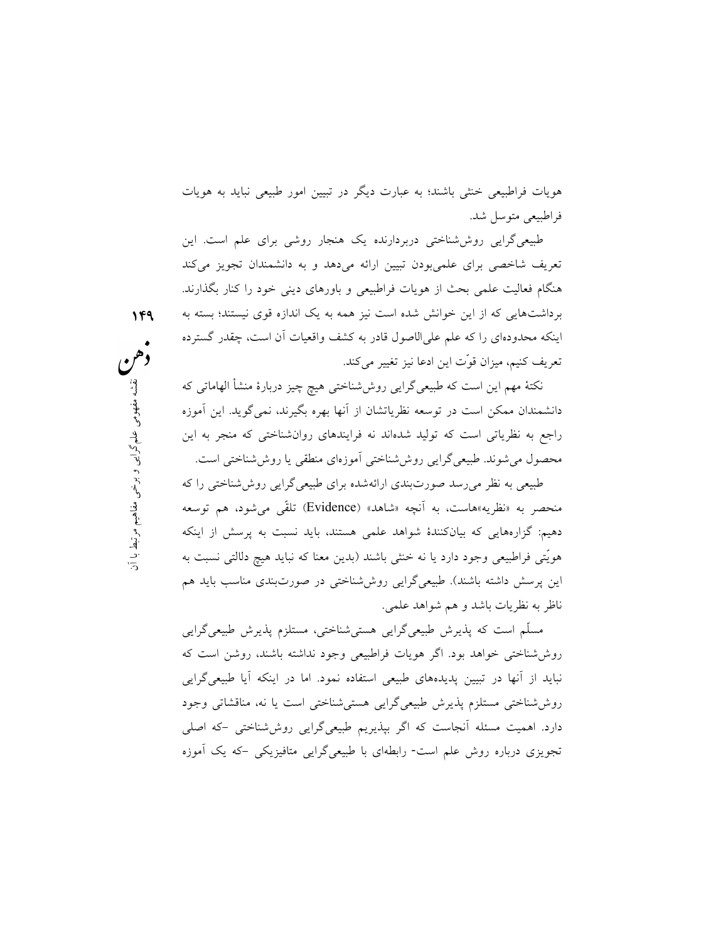هويات فراطبيعي خنثي باشند؛ به عبارت ديگر در تبيين امور طبيعي نبايد به هويات فراطبيعي متوسل شد.

طبيعيگرايي روششناختي دربردارنده يك هنجار روشي براي علم است. اين تعريف شاخصي براي علميبودن تبيين ارائه ميدهد و به دانشمندان تجويز ميكند هنگام فعاليت علمي بحث از هويات فراطبيعي و باورهاي ديني خود را كنار بگذارند. برداشتهايي كه از اين خوانش شده است نيز همه به يك اندازه قوي نيستند؛ بسته به اينكه محدودهاي را كه علم عليالاصول قادر به كشف واقعيات آن است، چقدر گسترده تعريف كنيم، ميزان قوّت اين ادعا نيز تغيير ميكند.

ش شناختی هیچ چیز دربارهٔ منشأ الهاماتی که<br>ان از آنها بهره بگیرند، نمیگوید. این آموزه<br>نه فرایندهای روان شناختی که منجر به این<br>ی آموزهای منطقی یا روش شناختی است.<br>نه شده برای طبیعیگرایی روش شناختی را که<br>شنده برای طبیعیگرایی نكتة مهم اين است كه طبيعيگرايي روششناختي هيچ چيز دربارة منشأ الهاماتي كه دانشمندان ممكن است در توسعه نظرياتشان از آنها بهره بگيرند، نميگويد. اين آموزه راجع به نظرياتي است كه توليد شدهاند نه فرايندهاي روانشناختي كه منجر به اين محصول ميشوند. طبيعيگرايي روششناختي آموزهاي منطقي يا روششناختي است.

طبيعي به نظر ميرسد صورتبندي ارائهشده براي طبيعيگرايي روششناختي را كه منحصر به «نظريه»هاست، به آنچه «شاهد» (Evidence (تلقّي ميشود، هم توسعه دهيم: گزارههايي كه بيانكنندة شواهد علمي هستند، بايد نسبت به پرسش از اينكه هويّتي فراطبيعي وجود دارد يا نه خنثي باشند (بدين معنا كه نبايد هيچ دلالتي نسبت به اين پرسش داشته باشند). طبيعيگرايي روششناختي در صورتبندي مناسب بايد هم ناظر به نظريات باشد و هم شواهد علمي.

مسّلم است كه پذيرش طبيعيگرايي هستيشناختي، مستلزم پذيرش طبيعيگرايي روششناختي خواهد بود. اگر هويات فراطبيعي وجود نداشته باشند، روشن است كه نبايد از آنها در تبيين پديدههاي طبيعي استفاده نمود. اما در اينكه آيا طبيعيگرايي روششناختي مستلزم پذيرش طبيعيگرايي هستيشناختي است يا نه، مناقشاتي وجود دارد. اهميت مسئله آنجاست كه اگر بپذيريم طبيعيگرايي روششناختي - كه اصلي تجويزي درباره روش علم است- رابطهاي با طبيعيگرايي متافيزيكي - كه يك آموزه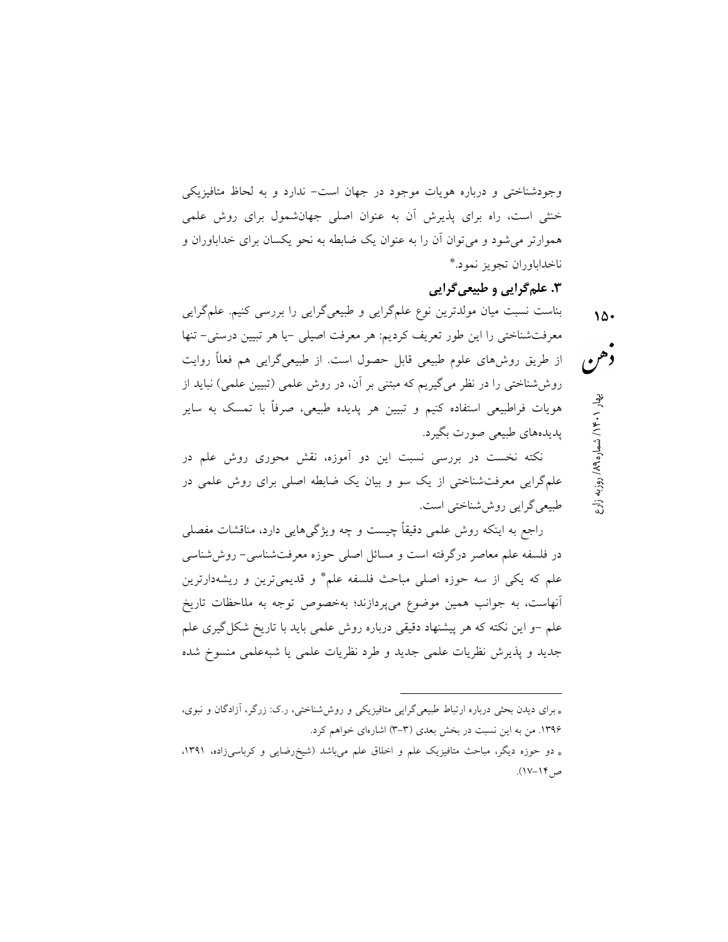وجودشناختي و درباره هويات موجود در جهان است- ندارد و به لحاظ متافيزيكي خنثي است، راه براي پذيرش آن به عنوان اصلي جهانشمول براي روش علمي هموارتر ميشود و ميتوان آن را به عنوان يك ضابطه به نحو يكسان براي خداباوران و \* ناخداباوران تجويز نمود.

.٣ علمگرايي و طبيعيگرايي

روزبه زارع / ۱۴۰۰ بهار ۱۰۶۰/ شماره ۱۸۹<sub>۹ با</sub>وزبه زارع<br>هم بناست نسبت ميان مولدترين نوع علمگرايي و طبيعيگرايي را بررسي كنيم. علمگرايي معرفتشناختي را اين طور تعريف كرديم: هر معرفت اصيلي - يا هر تبيين درستي- تنها از طريق روشهاي علوم طبيعي قابل حصول است. از طبيعيگرايي هم فعلًا روايت روششناختي را در نظر ميگيريم كه مبتني بر آن، در روش علمي (تبيين علمي) نبايد از هويات فراطبيعي استفاده كنيم و تبيين هر پديده طبيعي، صرفًا با تمسك به ساير پديدههاي طبيعي صورت بگيرد.

نكته نخست در بررسي نسبت اين دو آموزه، نقش محوري روش علم در علمگرايي معرفتشناختي از يك سو و بيان يك ضابطه اصلي براي روش علمي در طبيعيگرايي روششناختي است.

راجع به اينكه روش علمي دقيقاً چيست و چه ويژگيهايي دارد، مناقشات مفصلي در فلسفه علم معاصر درگرفته است و مسائل اصلي حوزه معرفتشناسي- روششناسي علم كه يكي از سه حوزه اصلي مباحث فلسفه علم\* و قديميترين و ريشهدارترين آنهاست، به جوانب همين موضوع ميپردازند؛ بهخصوص توجه به ملاحظات تاريخ علم –و اين نكته كه هر پيشنهاد دقيقي درباره روش علمي بايد با تاريخ شكل گيري علم جديد و پذيرش نظريات علمي جديد و طرد نظريات علمي يا شبهعلمي منسوخ شده

\* براي ديدن بحثي درباره ارتباط طبيعيگرايي متافيزيكي و روششناختي، ر.ك: زرگر، آزادگان و نبوي، .١٣٩٦ من به اين نسبت در بخش بعدي (-٣ ٣) اشارهاي خواهم كرد. \* دو حوزه ديگر، مباحث متافيزيك علم و اخلاق علم ميباشد (شيخرضايي و كرباسيزاده، ،١٣٩١ ص١٧-١٤).

-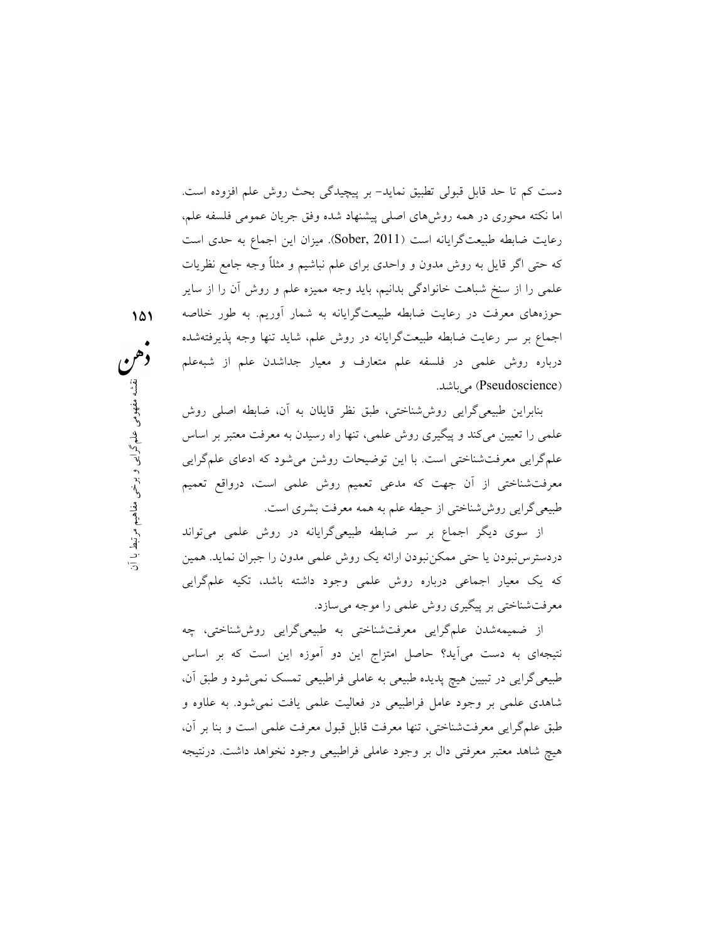دست كم تا حد قابل قبولي تطبيق نمايد- بر پيچيدگي بحث روش علم افزوده است. اما نكته محوري در همه روشهاي اصلي پيشنهاد شده وفق جريان عمومي فلسفه علم، رعايت ضابطه طبيعتگرايانه است (2011 ,Sober(. ميزان اين اجماع به حدي است كه حتي اگر قايل به روش مدون و واحدي براي علم نباشيم و مثلًا وجه جامع نظريات علمي را از سنخ شباهت خانوادگي بدانيم، بايد وجه مميزه علم و روش آن را از ساير حوزههاي معرفت در رعايت ضابطه طبيعتگرايانه به شمار آوريم. به طور خلاصه اجماع بر سر رعايت ضابطه طبيعتگرايانه در روش علم، شايد تنها وجه پذيرفتهشده درباره روش علمي در فلسفه علم متعارف و معيار جداشدن علم از شبهعلم (Pseudoscience) مي باشد.

لبق نظر قايلان به آن، ضابطه اصلى روش<br><sub>مى</sub>، تنها راه رسيدن به معرفت معتبر بر اساس<br>ميحات روشن مى شود كه ادعاى علم گرايى<br>تعميم روش علمى است، درواقع تعميم<br>همه معرفت بشرى است.<br>همه معرفت بشرى است.<br>همه معرفت بشرى است.<br>همه معرفت بنابراين طبيعيگرايي روششناختي، طبق نظر قايلان به آن، ضابطه اصلي روش علمي را تعيين ميكند و پيگيري روش علمي، تنها راه رسيدن به معرفت معتبر بر اساس علمگرايي معرفتشناختي است. با اين توضيحات روشن ميشود كه ادعاي علمگرايي معرفتشناختي از آن جهت كه مدعي تعميم روش علمي است، درواقع تعميم طبيعيگرايي روششناختي از حيطه علم به همه معرفت بشري است.

از سوي ديگر اجماع بر سر ضابطه طبيعيگرايانه در روش علمي ميتواند دردسترس نبودن يا حتى ممكن نبودن ارائه يك روش علمي مدون را جبران نمايد. همين كه يك معيار اجماعي درباره روش علمي وجود داشته باشد، تكيه علمگرايي معرفتشناختي بر پيگيري روش علمي را موجه ميسازد.

از ضميمهشدن علمگرايي معرفتشناختي به طبيعيگرايي روششناختي، چه نتيجهاي به دست ميآيد؟ حاصل امتزاج اين دو آموزه اين است كه بر اساس طبيعيگرايي در تبيين هيچ پديده طبيعي به عاملي فراطبيعي تمسك نميشود و طبق آن، شاهدي علمي بر وجود عامل فراطبيعي در فعاليت علمي يافت نميشود. به علاوه و طبق علمگرايي معرفتشناختي، تنها معرفت قابل قبول معرفت علمي است و بنا بر آن، هيچ شاهد معتبر معرفتي دال بر وجود عاملي فراطبيعي وجود نخواهد داشت. درنتيجه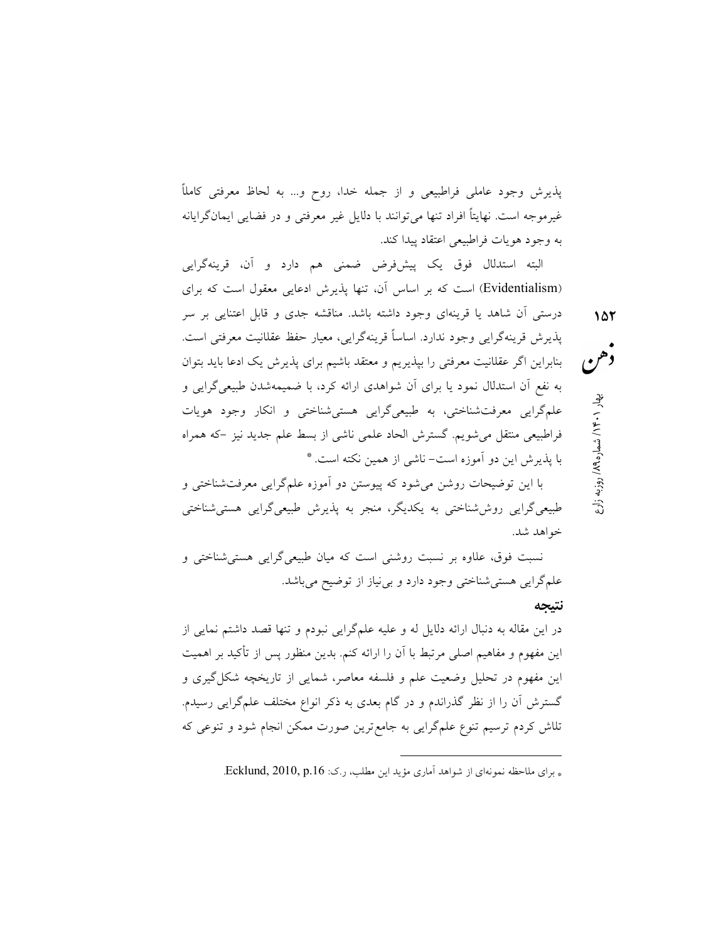پذيرش وجود عاملي فراطبيعي و از جمله خدا، روح و... به لحاظ معرفتي كاملًا غيرموجه است. نهايتًا افراد تنها ميتوانند با دلايل غير معرفتي و در فضايي ايمانگرايانه به وجود هويات فراطبيعي اعتقاد پيدا كند.

روزبه زارع / میلاد / ۱۴۰۰ به شماره ۱۵۲<br>هم<br>تاریخچه / شماره ۱۸۹۰ به اردوزبه زارع البته استدلال فوق يك پيشفرض ضمني هم دارد و آن، قرينهگرايي (Evidentialism (است كه بر اساس آن، تنها پذيرش ادعايي معقول است كه براي درستي آن شاهد يا قرينهاي وجود داشته باشد. مناقشه جدي و قابل اعتنايي بر سر پذيرش قرينهگرايي وجود ندارد. اساسًا قرينهگرايي، معيار حفظ عقلانيت معرفتي است. بنابراين اگر عقلانيت معرفتي را بپذيريم و معتقد باشيم براي پذيرش يك ادعا بايد بتوان به نفع آن استدلال نمود يا براي آن شواهدي ارائه كرد، با ضميمهشدن طبيعيگرايي و علمگرايي معرفتشناختي، به طبيعيگرايي هستيشناختي و انكار وجود هويات فراطبيعي منتقل ميشويم. گسترش الحاد علمي ناشي از بسط علم جديد نيز - كه همراه \* با پذيرش اين دو آموزه است- ناشي از همين نكته است.

با اين توضيحات روشن ميشود كه پيوستن دو آموزه علمگرايي معرفتشناختي و طبيعيگرايي روششناختي به يكديگر، منجر به پذيرش طبيعيگرايي هستيشناختي خواهد شد.

نسبت فوق، علاوه بر نسبت روشني است كه ميان طبيعيگرايي هستيشناختي و علمگرايي هستيشناختي وجود دارد و بينياز از توضيح ميباشد.

#### نتيجه

در اين مقاله به دنبال ارائه دلايل له و عليه علمگرايي نبودم و تنها قصد داشتم نمايي از اين مفهوم و مفاهيم اصلي مرتبط با آن را ارائه كنم. بدين منظور پس از تأكيد بر اهميت اين مفهوم در تحليل وضعيت علم و فلسفه معاصر، شمايي از تاريخچه شكلگيري و گسترش آن را از نظر گذراندم و در گام بعدي به ذكر انواع مختلف علمگرايي رسيدم. تلاش كردم ترسيم تنوع علمگرايي به جامعترين صورت ممكن انجام شود و تنوعي كه

\* براي ملاحظه نمونهاي از شواهد آماري مؤيد اين مطلب، ر.ك: Ecklund, 2010, p.16.

-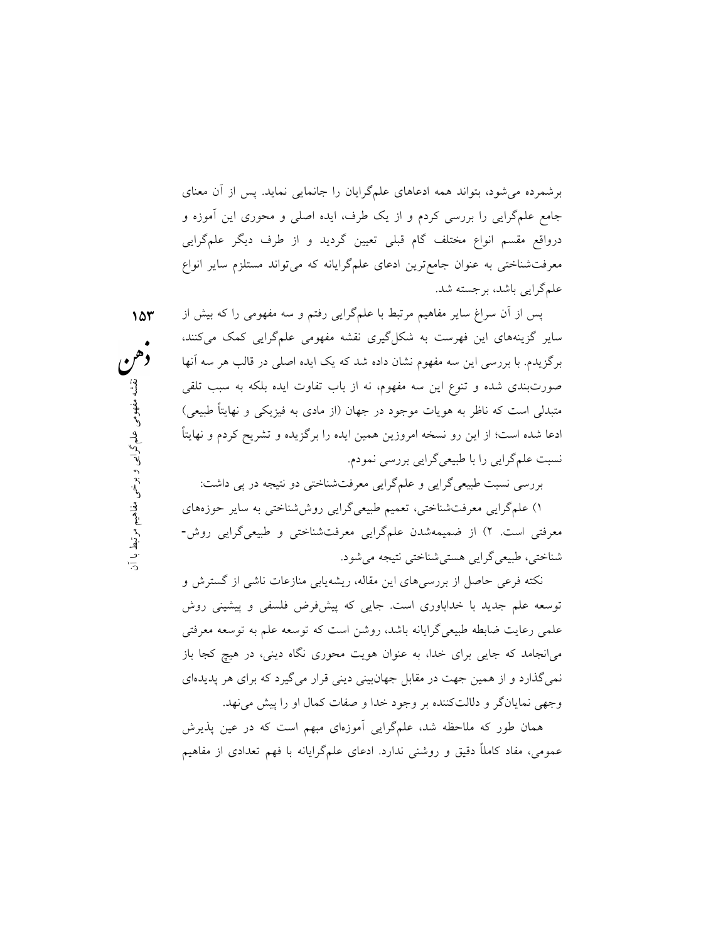برشمرده ميشود، بتواند همه ادعاهاي علمگرايان را جانمايي نمايد. پس از آن معناي جامع علمگرايي را بررسي كردم و از يك طرف، ايده اصلي و محوري اين آموزه و درواقع مقسم انواع مختلف گام قبلي تعيين گرديد و از طرف ديگر علمگرايي معرفتشناختي به عنوان جامعترين ادعاي علمگرايانه كه ميتواند مستلزم ساير انواع علمگرايي باشد، برجسته شد.

نه از باب تفاوت ايده بلكه به سبب تلقى<br>جهان (از مادى به فيزيكى و نهايتاً طبيعى)<br>ممون ايده را برگزيده و تشريح كردم و نهايتاً<br>معرفتشناختى دو نتيجه در پى داشت:<br>معرفتشناختى دو نتيجه در پى داشت:<br>بيعىگرايى روششناختى به ساير حوزه پس از آن سراغ ساير مفاهيم مرتبط با علمگرايي رفتم و سه مفهومي را كه بيش از ساير گزينههاي اين فهرست به شكلگيري نقشه مفهومي علمگرايي كمك ميكنند، برگزيدم. با بررسي اين سه مفهوم نشان داده شد كه يك ايده اصلي در قالب هر سه آنها صورتبندي شده و تنوع اين سه مفهوم، نه از باب تفاوت ايده بلكه به سبب تلقي متبدلي است كه ناظر به هويات موجود در جهان (از مادي به فيزيكي و نهايتًا طبيعي) ادعا شده است؛ از اين رو نسخه امروزين همين ايده را برگزيده و تشريح كردم و نهايتًا نسبت علمگرايي را با طبيعيگرايي بررسي نمودم.

بررسي نسبت طبيعيگرايي و علمگرايي معرفتشناختي دو نتيجه در پي داشت: ١) علمگرايي معرفتشناختي، تعميم طبيعيگرايي روششناختي به ساير حوزههاي معرفتي است. ٢) از ضميمهشدن علمگرايي معرفتشناختي و طبيعيگرايي روش- شناختي، طبيعيگرايي هستيشناختي نتيجه ميشود.

نكته فرعي حاصل از بررسيهاي اين مقاله، ريشهيابي منازعات ناشي از گسترش و توسعه علم جديد با خداباوري است. جايي كه پيشفرض فلسفي و پيشيني روش علمي رعايت ضابطه طبيعيگرايانه باشد، روشن است كه توسعه علم به توسعه معرفتي ميانجامد كه جايي براي خدا، به عنوان هويت محوري نگاه ديني، در هيچ كجا باز نميگذارد و از همين جهت در مقابل جهانبيني ديني قرار ميگيرد كه براي هر پديدهاي وجهي نمايانگر و دلالتكننده بر وجود خدا و صفات كمال او را پيش مينهد.

همان طور كه ملاحظه شد، علمگرايي آموزهاي مبهم است كه در عين پذيرش عمومي، مفاد كاملًا دقيق و روشني ندارد. ادعاي علمگرايانه با فهم تعدادي از مفاهيم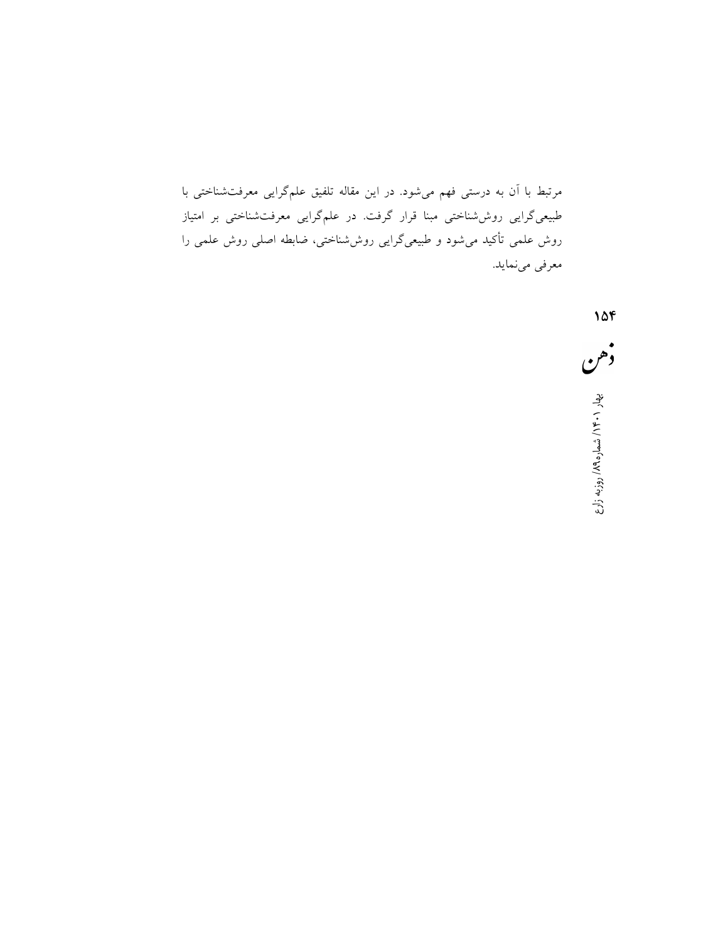مرتبط با آن به درستي فهم ميشود. در اين مقاله تلفيق علمگرايي معرفتشناختي با طبيعيگرايي روششناختي مبنا قرار گرفت. در علمگرايي معرفتشناختي بر امتياز روش علمي تأكيد ميشود و طبيعيگرايي روششناختي، ضابطه اصلي روش علمي را معرفي مينمايد.

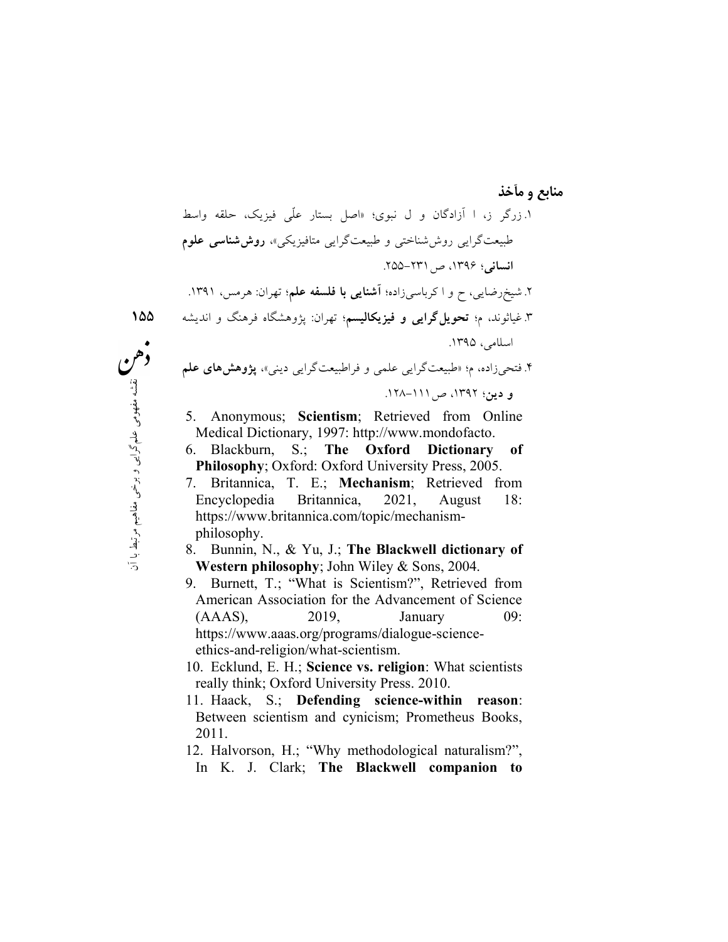منابع و مآخذ .١زرگر ز، ا آزادگان و ل نبوي؛ «اصل بستار عّلي فيزيك، حلقه واسط طبيعتگرايي روششناختي و طبيعتگرايي متافيزيكي»، روششناسي علوم انساني؛ ،١٣٩٦ ص-٢٣١ .٢٥٥ . شيخرضايي، ح و ا كرباس<sub>ي</sub>زاده؛ **آشنايي با فلسفه علم**؛ تهران: هرمس، ١٣٩١. .٣غياثوند، م؛ تحويلگرايي و فيزيكاليسم؛ تهران: پژوهشگاه فرهنگ و انديشه اسلامي، .١٣٩٥ .٤ فتحيزاده، م؛ «طبيعتگرايي علمي و فراطبيعتگرايي ديني»، پژوهشهاي علم و دين؛ ،١٣٩٢ ص-١١١ .١٢٨

- 5. Anonymous; Scientism; Retrieved from Online Medical Dictionary, 1997: http://www.mondofacto.
- 6. Blackburn, S.; The Oxford Dictionary of Philosophy; Oxford: Oxford University Press, 2005.
- 5. Anonymous; **Scientism**;<br>  $\begin{array}{cccc}\n\downarrow^4 & \downarrow^5 & \downarrow^6 \\
\downarrow^6 & \downarrow^6 & \downarrow^6\n\end{array}$  Medical Dictionary, 1997: http<br>
6. Blackburn, S.; **The O**<br> **Philosophy**; Oxford: Oxford U<br>
7. Britannica, T. E.; **Mech**<br>
Encyclopedia Britann 7. Britannica, T. E.; Mechanism; Retrieved from Encyclopedia Britannica, 2021, August 18: https://www.britannica.com/topic/mechanismphilosophy.
	- 8. Bunnin, N., & Yu, J.; The Blackwell dictionary of Western philosophy; John Wiley & Sons, 2004.
	- 9. Burnett, T.; "What is Scientism?", Retrieved from American Association for the Advancement of Science (AAAS), 2019, January 09: https://www.aaas.org/programs/dialogue-scienceethics-and-religion/what-scientism.
	- 10. Ecklund, E. H.; Science vs. religion: What scientists really think; Oxford University Press. 2010.
	- 11. Haack, S.; Defending science-within reason: Between scientism and cynicism; Prometheus Books, 2011.
	- 12. Halvorson, H.; "Why methodological naturalism?", In K. J. Clark; The Blackwell companion to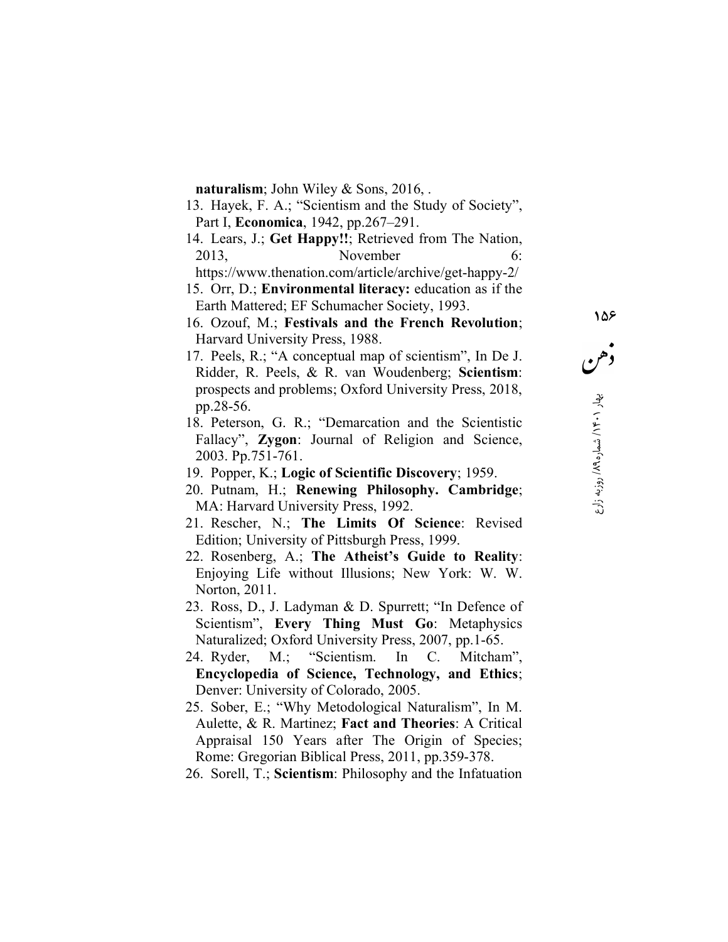naturalism; John Wiley & Sons, 2016, .

- 13. Hayek, F. A.; "Scientism and the Study of Society", Part I, Economica, 1942, pp.267–291.
- 14. Lears, J.; Get Happy!!; Retrieved from The Nation, 2013, November 6:

https://www.thenation.com/article/archive/get-happy-2/

- 15. Orr, D.; Environmental literacy: education as if the Earth Mattered; EF Schumacher Society, 1993.
- 16. Ozouf, M.; Festivals and the French Revolution; Harvard University Press, 1988.
- 17. Peels, R.; "A conceptual map of scientism", In De J. Ridder, R. Peels, & R. van Woudenberg; Scientism: prospects and problems; Oxford University Press, 2018, pp.28-56.
- 18. Peterson, G. R.; "Demarcation and the Scientistic Fallacy", **Zygon**: Journal of Religion and Science, 2003. Pp.751-761.
- 19. Popper, K.; Logic of Scientific Discovery; 1959.
- 20. Putnam, H.; Renewing Philosophy. Cambridge; MA: Harvard University Press, 1992.
- 21. Rescher, N.; The Limits Of Science: Revised Edition; University of Pittsburgh Press, 1999.
- 22. Rosenberg, A.; The Atheist's Guide to Reality: Enjoying Life without Illusions; New York: W. W. Norton, 2011.
- 23. Ross, D., J. Ladyman & D. Spurrett; "In Defence of Scientism", Every Thing Must Go: Metaphysics Naturalized; Oxford University Press, 2007, pp.1-65.
- 24. Ryder, M.; "Scientism. In C. Mitcham", Encyclopedia of Science, Technology, and Ethics; Denver: University of Colorado, 2005.
- 25. Sober, E.; "Why Metodological Naturalism", In M. Aulette, & R. Martinez; Fact and Theories: A Critical Appraisal 150 Years after The Origin of Species; Rome: Gregorian Biblical Press, 2011, pp.359-378.
- 26. Sorell, T.; Scientism: Philosophy and the Infatuation